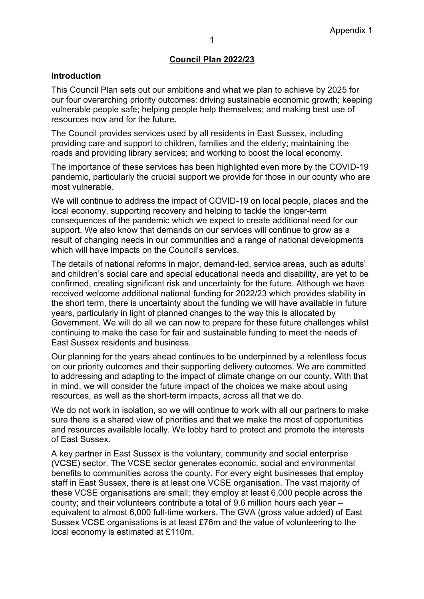## **Council Plan 2022/23**

#### **Introduction**

This Council Plan sets out our ambitions and what we plan to achieve by 2025 for our four overarching priority outcomes: driving sustainable economic growth; keeping vulnerable people safe; helping people help themselves; and making best use of resources now and for the future.

The Council provides services used by all residents in East Sussex, including providing care and support to children, families and the elderly; maintaining the roads and providing library services; and working to boost the local economy.

The importance of these services has been highlighted even more by the COVID-19 pandemic, particularly the crucial support we provide for those in our county who are most vulnerable.

We will continue to address the impact of COVID-19 on local people, places and the local economy, supporting recovery and helping to tackle the longer-term consequences of the pandemic which we expect to create additional need for our support. We also know that demands on our services will continue to grow as a result of changing needs in our communities and a range of national developments which will have impacts on the Council's services.

The details of national reforms in major, demand-led, service areas, such as adults' and children's social care and special educational needs and disability, are yet to be confirmed, creating significant risk and uncertainty for the future. Although we have received welcome additional national funding for 2022/23 which provides stability in the short term, there is uncertainty about the funding we will have available in future years, particularly in light of planned changes to the way this is allocated by Government. We will do all we can now to prepare for these future challenges whilst continuing to make the case for fair and sustainable funding to meet the needs of East Sussex residents and business.

Our planning for the years ahead continues to be underpinned by a relentless focus on our priority outcomes and their supporting delivery outcomes. We are committed to addressing and adapting to the impact of climate change on our county. With that in mind, we will consider the future impact of the choices we make about using resources, as well as the short-term impacts, across all that we do.

We do not work in isolation, so we will continue to work with all our partners to make sure there is a shared view of priorities and that we make the most of opportunities and resources available locally. We lobby hard to protect and promote the interests of East Sussex.

A key partner in East Sussex is the voluntary, community and social enterprise (VCSE) sector. The VCSE sector generates economic, social and environmental benefits to communities across the county. For every eight businesses that employ staff in East Sussex, there is at least one VCSE organisation. The vast majority of these VCSE organisations are small; they employ at least 6,000 people across the county; and their volunteers contribute a total of 9.6 million hours each year – equivalent to almost 6,000 full-time workers. The GVA (gross value added) of East Sussex VCSE organisations is at least £76m and the value of volunteering to the local economy is estimated at £110m.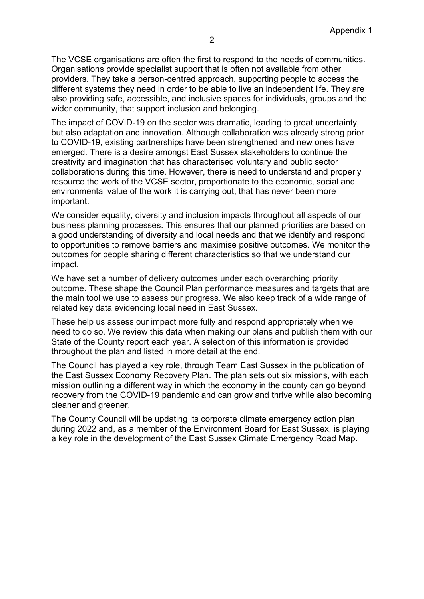The VCSE organisations are often the first to respond to the needs of communities. Organisations provide specialist support that is often not available from other providers. They take a person-centred approach, supporting people to access the different systems they need in order to be able to live an independent life. They are also providing safe, accessible, and inclusive spaces for individuals, groups and the wider community, that support inclusion and belonging.

The impact of COVID-19 on the sector was dramatic, leading to great uncertainty, but also adaptation and innovation. Although collaboration was already strong prior to COVID-19, existing partnerships have been strengthened and new ones have emerged. There is a desire amongst East Sussex stakeholders to continue the creativity and imagination that has characterised voluntary and public sector collaborations during this time. However, there is need to understand and properly resource the work of the VCSE sector, proportionate to the economic, social and environmental value of the work it is carrying out, that has never been more important.

We consider equality, diversity and inclusion impacts throughout all aspects of our business planning processes. This ensures that our planned priorities are based on a good understanding of diversity and local needs and that we identify and respond to opportunities to remove barriers and maximise positive outcomes. We monitor the outcomes for people sharing different characteristics so that we understand our impact.

We have set a number of delivery outcomes under each overarching priority outcome. These shape the Council Plan performance measures and targets that are the main tool we use to assess our progress. We also keep track of a wide range of related key data evidencing local need in East Sussex.

These help us assess our impact more fully and respond appropriately when we need to do so. We review this data when making our plans and publish them with our State of the County report each year. A selection of this information is provided throughout the plan and listed in more detail at the end.

The Council has played a key role, through Team East Sussex in the publication of the East Sussex Economy Recovery Plan. The plan sets out six missions, with each mission outlining a different way in which the economy in the county can go beyond recovery from the COVID-19 pandemic and can grow and thrive while also becoming cleaner and greener.

The County Council will be updating its corporate climate emergency action plan during 2022 and, as a member of the Environment Board for East Sussex, is playing a key role in the development of the East Sussex Climate Emergency Road Map.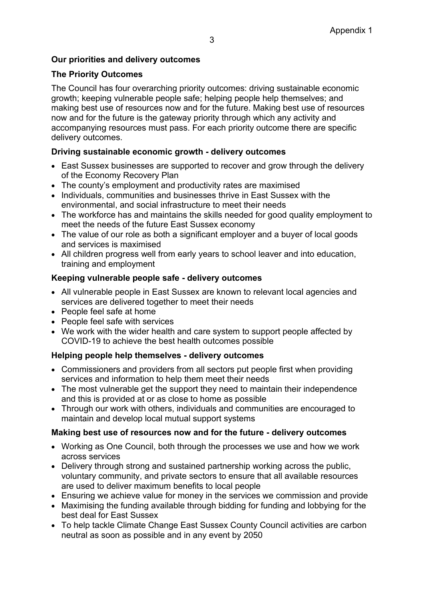## **Our priorities and delivery outcomes**

## **The Priority Outcomes**

The Council has four overarching priority outcomes: driving sustainable economic growth; keeping vulnerable people safe; helping people help themselves; and making best use of resources now and for the future. Making best use of resources now and for the future is the gateway priority through which any activity and accompanying resources must pass. For each priority outcome there are specific delivery outcomes.

## **Driving sustainable economic growth - delivery outcomes**

- East Sussex businesses are supported to recover and grow through the delivery of the Economy Recovery Plan
- The county's employment and productivity rates are maximised
- Individuals, communities and businesses thrive in East Sussex with the environmental, and social infrastructure to meet their needs
- The workforce has and maintains the skills needed for good quality employment to meet the needs of the future East Sussex economy
- The value of our role as both a significant employer and a buyer of local goods and services is maximised
- All children progress well from early years to school leaver and into education, training and employment

## **Keeping vulnerable people safe - delivery outcomes**

- All vulnerable people in East Sussex are known to relevant local agencies and services are delivered together to meet their needs
- People feel safe at home
- People feel safe with services
- We work with the wider health and care system to support people affected by COVID-19 to achieve the best health outcomes possible

## **Helping people help themselves - delivery outcomes**

- Commissioners and providers from all sectors put people first when providing services and information to help them meet their needs
- The most vulnerable get the support they need to maintain their independence and this is provided at or as close to home as possible
- Through our work with others, individuals and communities are encouraged to maintain and develop local mutual support systems

## **Making best use of resources now and for the future - delivery outcomes**

- Working as One Council, both through the processes we use and how we work across services
- Delivery through strong and sustained partnership working across the public, voluntary community, and private sectors to ensure that all available resources are used to deliver maximum benefits to local people
- Ensuring we achieve value for money in the services we commission and provide
- Maximising the funding available through bidding for funding and lobbying for the best deal for East Sussex
- To help tackle Climate Change East Sussex County Council activities are carbon neutral as soon as possible and in any event by 2050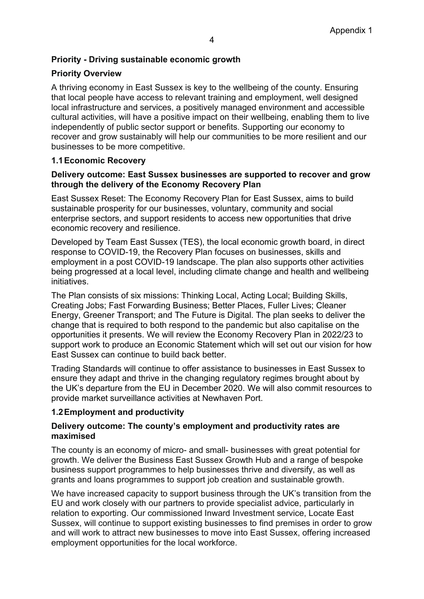## **Priority - Driving sustainable economic growth**

## **Priority Overview**

A thriving economy in East Sussex is key to the wellbeing of the county. Ensuring that local people have access to relevant training and employment, well designed local infrastructure and services, a positively managed environment and accessible cultural activities, will have a positive impact on their wellbeing, enabling them to live independently of public sector support or benefits. Supporting our economy to recover and grow sustainably will help our communities to be more resilient and our businesses to be more competitive.

## **1.1Economic Recovery**

#### **Delivery outcome: East Sussex businesses are supported to recover and grow through the delivery of the Economy Recovery Plan**

East Sussex Reset: The Economy Recovery Plan for East Sussex, aims to build sustainable prosperity for our businesses, voluntary, community and social enterprise sectors, and support residents to access new opportunities that drive economic recovery and resilience.

Developed by Team East Sussex (TES), the local economic growth board, in direct response to COVID-19, the Recovery Plan focuses on businesses, skills and employment in a post COVID-19 landscape. The plan also supports other activities being progressed at a local level, including climate change and health and wellbeing initiatives.

The Plan consists of six missions: Thinking Local, Acting Local; Building Skills, Creating Jobs; Fast Forwarding Business; Better Places, Fuller Lives; Cleaner Energy, Greener Transport; and The Future is Digital. The plan seeks to deliver the change that is required to both respond to the pandemic but also capitalise on the opportunities it presents. We will review the Economy Recovery Plan in 2022/23 to support work to produce an Economic Statement which will set out our vision for how East Sussex can continue to build back better.

Trading Standards will continue to offer assistance to businesses in East Sussex to ensure they adapt and thrive in the changing regulatory regimes brought about by the UK's departure from the EU in December 2020. We will also commit resources to provide market surveillance activities at Newhaven Port.

#### **1.2Employment and productivity**

#### **Delivery outcome: The county's employment and productivity rates are maximised**

The county is an economy of micro- and small- businesses with great potential for growth. We deliver the Business East Sussex Growth Hub and a range of bespoke business support programmes to help businesses thrive and diversify, as well as grants and loans programmes to support job creation and sustainable growth.

We have increased capacity to support business through the UK's transition from the EU and work closely with our partners to provide specialist advice, particularly in relation to exporting. Our commissioned Inward Investment service, Locate East Sussex, will continue to support existing businesses to find premises in order to grow and will work to attract new businesses to move into East Sussex, offering increased employment opportunities for the local workforce.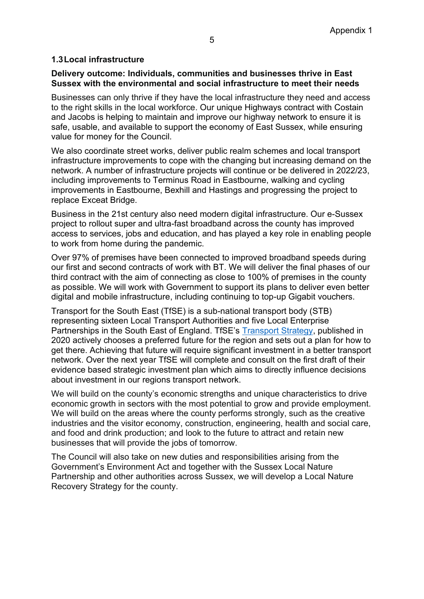## **1.3Local infrastructure**

#### **Delivery outcome: Individuals, communities and businesses thrive in East Sussex with the environmental and social infrastructure to meet their needs**

Businesses can only thrive if they have the local infrastructure they need and access to the right skills in the local workforce. Our unique Highways contract with Costain and Jacobs is helping to maintain and improve our highway network to ensure it is safe, usable, and available to support the economy of East Sussex, while ensuring value for money for the Council.

We also coordinate street works, deliver public realm schemes and local transport infrastructure improvements to cope with the changing but increasing demand on the network. A number of infrastructure projects will continue or be delivered in 2022/23, including improvements to Terminus Road in Eastbourne, walking and cycling improvements in Eastbourne, Bexhill and Hastings and progressing the project to replace Exceat Bridge.

Business in the 21st century also need modern digital infrastructure. Our e-Sussex project to rollout super and ultra-fast broadband across the county has improved access to services, jobs and education, and has played a key role in enabling people to work from home during the pandemic.

Over 97% of premises have been connected to improved broadband speeds during our first and second contracts of work with BT. We will deliver the final phases of our third contract with the aim of connecting as close to 100% of premises in the county as possible. We will work with Government to support its plans to deliver even better digital and mobile infrastructure, including continuing to top-up Gigabit vouchers.

Transport for the South East (TfSE) is a sub-national transport body (STB) representing sixteen Local Transport Authorities and five Local Enterprise Partnerships in the South East of England. TfSE's [Transport Strategy,](https://transportforthesoutheast.org.uk/our-work/transport-strategy/) published in 2020 actively chooses a preferred future for the region and sets out a plan for how to get there. Achieving that future will require significant investment in a better transport network. Over the next year TfSE will complete and consult on the first draft of their evidence based strategic investment plan which aims to directly influence decisions about investment in our regions transport network.

We will build on the county's economic strengths and unique characteristics to drive economic growth in sectors with the most potential to grow and provide employment. We will build on the areas where the county performs strongly, such as the creative industries and the visitor economy, construction, engineering, health and social care, and food and drink production; and look to the future to attract and retain new businesses that will provide the jobs of tomorrow.

The Council will also take on new duties and responsibilities arising from the Government's Environment Act and together with the Sussex Local Nature Partnership and other authorities across Sussex, we will develop a Local Nature Recovery Strategy for the county.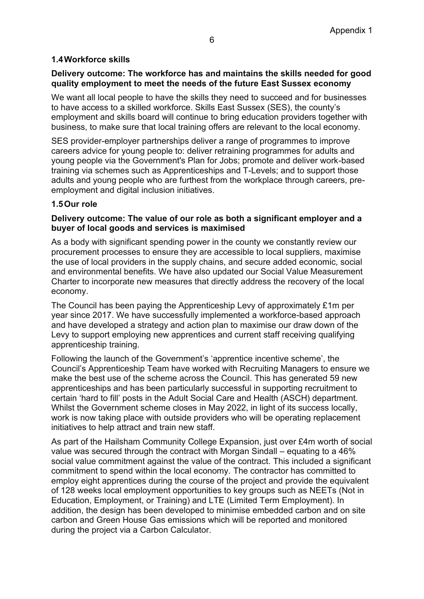## **1.4Workforce skills**

## **Delivery outcome: The workforce has and maintains the skills needed for good quality employment to meet the needs of the future East Sussex economy**

We want all local people to have the skills they need to succeed and for businesses to have access to a skilled workforce. Skills East Sussex (SES), the county's employment and skills board will continue to bring education providers together with business, to make sure that local training offers are relevant to the local economy.

SES provider-employer partnerships deliver a range of programmes to improve careers advice for young people to: deliver retraining programmes for adults and young people via the Government's Plan for Jobs; promote and deliver work-based training via schemes such as Apprenticeships and T-Levels; and to support those adults and young people who are furthest from the workplace through careers, preemployment and digital inclusion initiatives.

#### **1.5Our role**

#### **Delivery outcome: The value of our role as both a significant employer and a buyer of local goods and services is maximised**

As a body with significant spending power in the county we constantly review our procurement processes to ensure they are accessible to local suppliers, maximise the use of local providers in the supply chains, and secure added economic, social and environmental benefits. We have also updated our Social Value Measurement Charter to incorporate new measures that directly address the recovery of the local economy.

The Council has been paying the Apprenticeship Levy of approximately £1m per year since 2017. We have successfully implemented a workforce-based approach and have developed a strategy and action plan to maximise our draw down of the Levy to support employing new apprentices and current staff receiving qualifying apprenticeship training.

Following the launch of the Government's 'apprentice incentive scheme', the Council's Apprenticeship Team have worked with Recruiting Managers to ensure we make the best use of the scheme across the Council. This has generated 59 new apprenticeships and has been particularly successful in supporting recruitment to certain 'hard to fill' posts in the Adult Social Care and Health (ASCH) department. Whilst the Government scheme closes in May 2022, in light of its success locally, work is now taking place with outside providers who will be operating replacement initiatives to help attract and train new staff.

As part of the Hailsham Community College Expansion, just over £4m worth of social value was secured through the contract with Morgan Sindall – equating to a 46% social value commitment against the value of the contract. This included a significant commitment to spend within the local economy. The contractor has committed to employ eight apprentices during the course of the project and provide the equivalent of 128 weeks local employment opportunities to key groups such as NEETs (Not in Education, Employment, or Training) and LTE (Limited Term Employment). In addition, the design has been developed to minimise embedded carbon and on site carbon and Green House Gas emissions which will be reported and monitored during the project via a Carbon Calculator.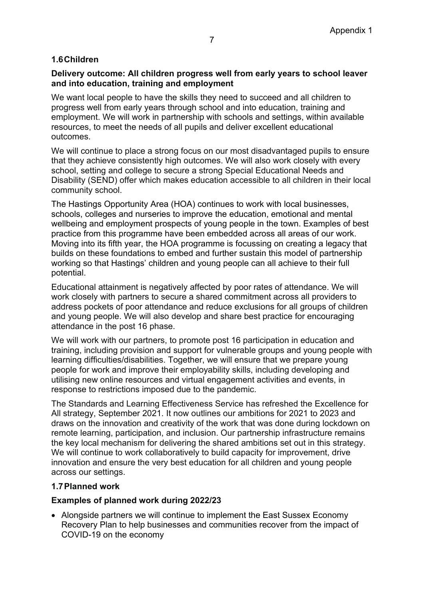## **1.6Children**

## **Delivery outcome: All children progress well from early years to school leaver and into education, training and employment**

We want local people to have the skills they need to succeed and all children to progress well from early years through school and into education, training and employment. We will work in partnership with schools and settings, within available resources, to meet the needs of all pupils and deliver excellent educational outcomes.

We will continue to place a strong focus on our most disadvantaged pupils to ensure that they achieve consistently high outcomes. We will also work closely with every school, setting and college to secure a strong Special Educational Needs and Disability (SEND) offer which makes education accessible to all children in their local community school.

The Hastings Opportunity Area (HOA) continues to work with local businesses, schools, colleges and nurseries to improve the education, emotional and mental wellbeing and employment prospects of young people in the town. Examples of best practice from this programme have been embedded across all areas of our work. Moving into its fifth year, the HOA programme is focussing on creating a legacy that builds on these foundations to embed and further sustain this model of partnership working so that Hastings' children and young people can all achieve to their full potential.

Educational attainment is negatively affected by poor rates of attendance. We will work closely with partners to secure a shared commitment across all providers to address pockets of poor attendance and reduce exclusions for all groups of children and young people. We will also develop and share best practice for encouraging attendance in the post 16 phase.

We will work with our partners, to promote post 16 participation in education and training, including provision and support for vulnerable groups and young people with learning difficulties/disabilities. Together, we will ensure that we prepare young people for work and improve their employability skills, including developing and utilising new online resources and virtual engagement activities and events, in response to restrictions imposed due to the pandemic.

The Standards and Learning Effectiveness Service has refreshed the Excellence for All strategy, September 2021. It now outlines our ambitions for 2021 to 2023 and draws on the innovation and creativity of the work that was done during lockdown on remote learning, participation, and inclusion. Our partnership infrastructure remains the key local mechanism for delivering the shared ambitions set out in this strategy. We will continue to work collaboratively to build capacity for improvement, drive innovation and ensure the very best education for all children and young people across our settings.

## **1.7Planned work**

## **Examples of planned work during 2022/23**

• Alongside partners we will continue to implement the East Sussex Economy Recovery Plan to help businesses and communities recover from the impact of COVID-19 on the economy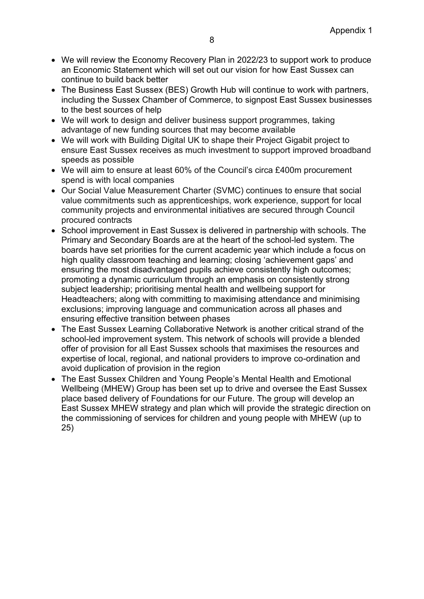- We will review the Economy Recovery Plan in 2022/23 to support work to produce an Economic Statement which will set out our vision for how East Sussex can continue to build back better
- The Business East Sussex (BES) Growth Hub will continue to work with partners, including the Sussex Chamber of Commerce, to signpost East Sussex businesses to the best sources of help
- We will work to design and deliver business support programmes, taking advantage of new funding sources that may become available
- We will work with Building Digital UK to shape their Project Gigabit project to ensure East Sussex receives as much investment to support improved broadband speeds as possible
- We will aim to ensure at least 60% of the Council's circa £400m procurement spend is with local companies
- Our Social Value Measurement Charter (SVMC) continues to ensure that social value commitments such as apprenticeships, work experience, support for local community projects and environmental initiatives are secured through Council procured contracts
- School improvement in East Sussex is delivered in partnership with schools. The Primary and Secondary Boards are at the heart of the school-led system. The boards have set priorities for the current academic year which include a focus on high quality classroom teaching and learning; closing 'achievement gaps' and ensuring the most disadvantaged pupils achieve consistently high outcomes; promoting a dynamic curriculum through an emphasis on consistently strong subject leadership; prioritising mental health and wellbeing support for Headteachers; along with committing to maximising attendance and minimising exclusions; improving language and communication across all phases and ensuring effective transition between phases
- The East Sussex Learning Collaborative Network is another critical strand of the school-led improvement system. This network of schools will provide a blended offer of provision for all East Sussex schools that maximises the resources and expertise of local, regional, and national providers to improve co-ordination and avoid duplication of provision in the region
- The East Sussex Children and Young People's Mental Health and Emotional Wellbeing (MHEW) Group has been set up to drive and oversee the East Sussex place based delivery of Foundations for our Future. The group will develop an East Sussex MHEW strategy and plan which will provide the strategic direction on the commissioning of services for children and young people with MHEW (up to 25)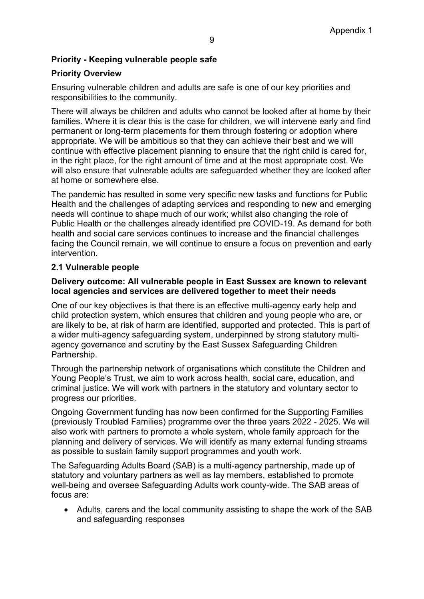## **Priority - Keeping vulnerable people safe**

## **Priority Overview**

Ensuring vulnerable children and adults are safe is one of our key priorities and responsibilities to the community.

There will always be children and adults who cannot be looked after at home by their families. Where it is clear this is the case for children, we will intervene early and find permanent or long-term placements for them through fostering or adoption where appropriate. We will be ambitious so that they can achieve their best and we will continue with effective placement planning to ensure that the right child is cared for, in the right place, for the right amount of time and at the most appropriate cost. We will also ensure that vulnerable adults are safeguarded whether they are looked after at home or somewhere else.

The pandemic has resulted in some very specific new tasks and functions for Public Health and the challenges of adapting services and responding to new and emerging needs will continue to shape much of our work; whilst also changing the role of Public Health or the challenges already identified pre COVID-19. As demand for both health and social care services continues to increase and the financial challenges facing the Council remain, we will continue to ensure a focus on prevention and early intervention.

#### **2.1 Vulnerable people**

#### **Delivery outcome: All vulnerable people in East Sussex are known to relevant local agencies and services are delivered together to meet their needs**

One of our key objectives is that there is an effective multi-agency early help and child protection system, which ensures that children and young people who are, or are likely to be, at risk of harm are identified, supported and protected. This is part of a wider multi-agency safeguarding system, underpinned by strong statutory multiagency governance and scrutiny by the East Sussex Safeguarding Children Partnership.

Through the partnership network of organisations which constitute the Children and Young People's Trust, we aim to work across health, social care, education, and criminal justice. We will work with partners in the statutory and voluntary sector to progress our priorities.

Ongoing Government funding has now been confirmed for the Supporting Families (previously Troubled Families) programme over the three years 2022 - 2025. We will also work with partners to promote a whole system, whole family approach for the planning and delivery of services. We will identify as many external funding streams as possible to sustain family support programmes and youth work.

The Safeguarding Adults Board (SAB) is a multi-agency partnership, made up of statutory and voluntary partners as well as lay members, established to promote well-being and oversee Safeguarding Adults work county-wide. The SAB areas of focus are:

• Adults, carers and the local community assisting to shape the work of the SAB and safeguarding responses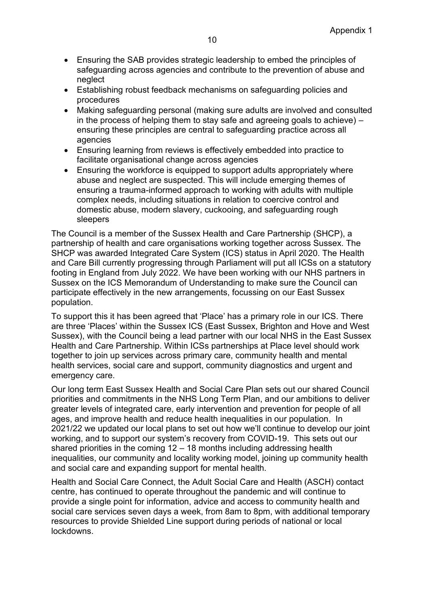- Ensuring the SAB provides strategic leadership to embed the principles of safeguarding across agencies and contribute to the prevention of abuse and neglect
- Establishing robust feedback mechanisms on safeguarding policies and procedures
- Making safeguarding personal (making sure adults are involved and consulted in the process of helping them to stay safe and agreeing goals to achieve) – ensuring these principles are central to safeguarding practice across all agencies
- Ensuring learning from reviews is effectively embedded into practice to facilitate organisational change across agencies
- Ensuring the workforce is equipped to support adults appropriately where abuse and neglect are suspected. This will include emerging themes of ensuring a trauma-informed approach to working with adults with multiple complex needs, including situations in relation to coercive control and domestic abuse, modern slavery, cuckooing, and safeguarding rough sleepers

The Council is a member of the Sussex Health and Care Partnership (SHCP), a partnership of health and care organisations working together across Sussex. The SHCP was awarded Integrated Care System (ICS) status in April 2020. The Health and Care Bill currently progressing through Parliament will put all ICSs on a statutory footing in England from July 2022. We have been working with our NHS partners in Sussex on the ICS Memorandum of Understanding to make sure the Council can participate effectively in the new arrangements, focussing on our East Sussex population.

To support this it has been agreed that 'Place' has a primary role in our ICS. There are three 'Places' within the Sussex ICS (East Sussex, Brighton and Hove and West Sussex), with the Council being a lead partner with our local NHS in the East Sussex Health and Care Partnership. Within ICSs partnerships at Place level should work together to join up services across primary care, community health and mental health services, social care and support, community diagnostics and urgent and emergency care.

Our long term East Sussex Health and Social Care Plan sets out our shared Council priorities and commitments in the NHS Long Term Plan, and our ambitions to deliver greater levels of integrated care, early intervention and prevention for people of all ages, and improve health and reduce health inequalities in our population. In 2021/22 we updated our local plans to set out how we'll continue to develop our joint working, and to support our system's recovery from COVID-19. This sets out our shared priorities in the coming 12 – 18 months including addressing health inequalities, our community and locality working model, joining up community health and social care and expanding support for mental health.

Health and Social Care Connect, the Adult Social Care and Health (ASCH) contact centre, has continued to operate throughout the pandemic and will continue to provide a single point for information, advice and access to community health and social care services seven days a week, from 8am to 8pm, with additional temporary resources to provide Shielded Line support during periods of national or local lockdowns.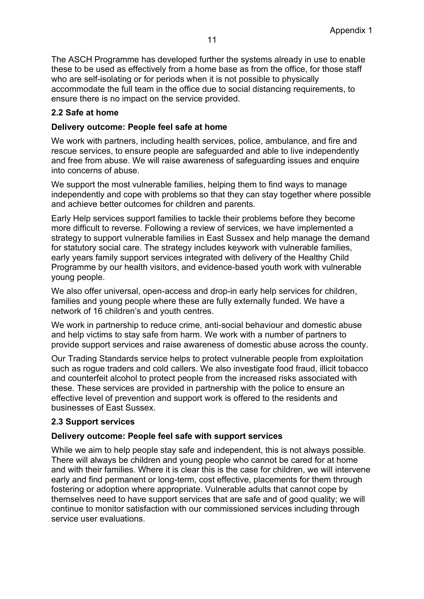The ASCH Programme has developed further the systems already in use to enable these to be used as effectively from a home base as from the office, for those staff who are self-isolating or for periods when it is not possible to physically accommodate the full team in the office due to social distancing requirements, to ensure there is no impact on the service provided.

## **2.2 Safe at home**

## **Delivery outcome: People feel safe at home**

We work with partners, including health services, police, ambulance, and fire and rescue services, to ensure people are safeguarded and able to live independently and free from abuse. We will raise awareness of safeguarding issues and enquire into concerns of abuse.

We support the most vulnerable families, helping them to find ways to manage independently and cope with problems so that they can stay together where possible and achieve better outcomes for children and parents.

Early Help services support families to tackle their problems before they become more difficult to reverse. Following a review of services, we have implemented a strategy to support vulnerable families in East Sussex and help manage the demand for statutory social care. The strategy includes keywork with vulnerable families, early years family support services integrated with delivery of the Healthy Child Programme by our health visitors, and evidence-based youth work with vulnerable young people.

We also offer universal, open-access and drop-in early help services for children, families and young people where these are fully externally funded. We have a network of 16 children's and youth centres.

We work in partnership to reduce crime, anti-social behaviour and domestic abuse and help victims to stay safe from harm. We work with a number of partners to provide support services and raise awareness of domestic abuse across the county.

Our Trading Standards service helps to protect vulnerable people from exploitation such as rogue traders and cold callers. We also investigate food fraud, illicit tobacco and counterfeit alcohol to protect people from the increased risks associated with these. These services are provided in partnership with the police to ensure an effective level of prevention and support work is offered to the residents and businesses of East Sussex.

#### **2.3 Support services**

#### **Delivery outcome: People feel safe with support services**

While we aim to help people stay safe and independent, this is not always possible. There will always be children and young people who cannot be cared for at home and with their families. Where it is clear this is the case for children, we will intervene early and find permanent or long-term, cost effective, placements for them through fostering or adoption where appropriate. Vulnerable adults that cannot cope by themselves need to have support services that are safe and of good quality; we will continue to monitor satisfaction with our commissioned services including through service user evaluations.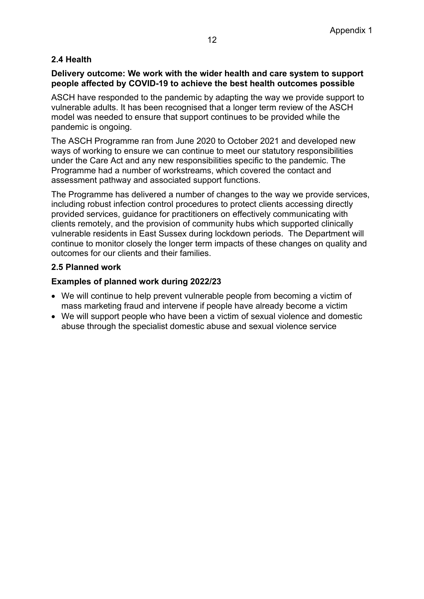## **2.4 Health**

## **Delivery outcome: We work with the wider health and care system to support people affected by COVID-19 to achieve the best health outcomes possible**

ASCH have responded to the pandemic by adapting the way we provide support to vulnerable adults. It has been recognised that a longer term review of the ASCH model was needed to ensure that support continues to be provided while the pandemic is ongoing.

The ASCH Programme ran from June 2020 to October 2021 and developed new ways of working to ensure we can continue to meet our statutory responsibilities under the Care Act and any new responsibilities specific to the pandemic. The Programme had a number of workstreams, which covered the contact and assessment pathway and associated support functions.

The Programme has delivered a number of changes to the way we provide services, including robust infection control procedures to protect clients accessing directly provided services, guidance for practitioners on effectively communicating with clients remotely, and the provision of community hubs which supported clinically vulnerable residents in East Sussex during lockdown periods. The Department will continue to monitor closely the longer term impacts of these changes on quality and outcomes for our clients and their families.

## **2.5 Planned work**

## **Examples of planned work during 2022/23**

- We will continue to help prevent vulnerable people from becoming a victim of mass marketing fraud and intervene if people have already become a victim
- We will support people who have been a victim of sexual violence and domestic abuse through the specialist domestic abuse and sexual violence service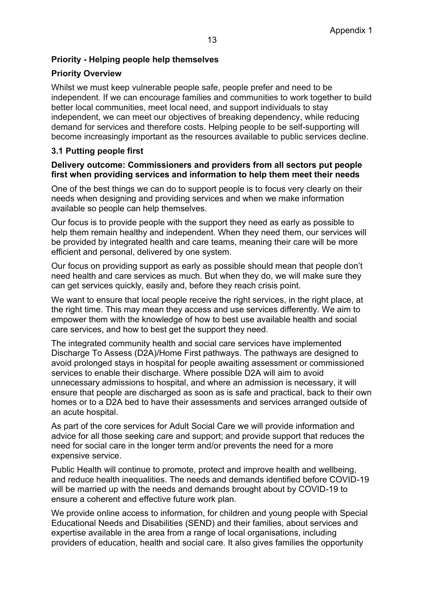## **Priority - Helping people help themselves**

## **Priority Overview**

Whilst we must keep vulnerable people safe, people prefer and need to be independent. If we can encourage families and communities to work together to build better local communities, meet local need, and support individuals to stay independent, we can meet our objectives of breaking dependency, while reducing demand for services and therefore costs. Helping people to be self-supporting will become increasingly important as the resources available to public services decline.

## **3.1 Putting people first**

#### **Delivery outcome: Commissioners and providers from all sectors put people first when providing services and information to help them meet their needs**

One of the best things we can do to support people is to focus very clearly on their needs when designing and providing services and when we make information available so people can help themselves.

Our focus is to provide people with the support they need as early as possible to help them remain healthy and independent. When they need them, our services will be provided by integrated health and care teams, meaning their care will be more efficient and personal, delivered by one system.

Our focus on providing support as early as possible should mean that people don't need health and care services as much. But when they do, we will make sure they can get services quickly, easily and, before they reach crisis point.

We want to ensure that local people receive the right services, in the right place, at the right time. This may mean they access and use services differently. We aim to empower them with the knowledge of how to best use available health and social care services, and how to best get the support they need.

The integrated community health and social care services have implemented Discharge To Assess (D2A)/Home First pathways. The pathways are designed to avoid prolonged stays in hospital for people awaiting assessment or commissioned services to enable their discharge. Where possible D2A will aim to avoid unnecessary admissions to hospital, and where an admission is necessary, it will ensure that people are discharged as soon as is safe and practical, back to their own homes or to a D2A bed to have their assessments and services arranged outside of an acute hospital.

As part of the core services for Adult Social Care we will provide information and advice for all those seeking care and support; and provide support that reduces the need for social care in the longer term and/or prevents the need for a more expensive service.

Public Health will continue to promote, protect and improve health and wellbeing, and reduce health inequalities. The needs and demands identified before COVID-19 will be married up with the needs and demands brought about by COVID-19 to ensure a coherent and effective future work plan.

We provide online access to information, for children and young people with Special Educational Needs and Disabilities (SEND) and their families, about services and expertise available in the area from a range of local organisations, including providers of education, health and social care. It also gives families the opportunity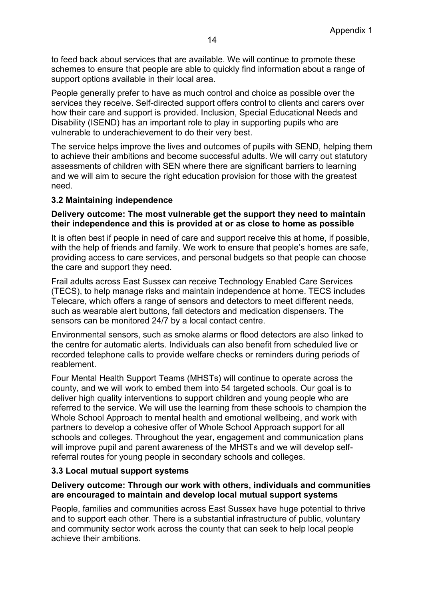to feed back about services that are available. We will continue to promote these schemes to ensure that people are able to quickly find information about a range of support options available in their local area.

People generally prefer to have as much control and choice as possible over the services they receive. Self-directed support offers control to clients and carers over how their care and support is provided. Inclusion, Special Educational Needs and Disability (ISEND) has an important role to play in supporting pupils who are vulnerable to underachievement to do their very best.

The service helps improve the lives and outcomes of pupils with SEND, helping them to achieve their ambitions and become successful adults. We will carry out statutory assessments of children with SEN where there are significant barriers to learning and we will aim to secure the right education provision for those with the greatest need.

#### **3.2 Maintaining independence**

#### **Delivery outcome: The most vulnerable get the support they need to maintain their independence and this is provided at or as close to home as possible**

It is often best if people in need of care and support receive this at home, if possible, with the help of friends and family. We work to ensure that people's homes are safe, providing access to care services, and personal budgets so that people can choose the care and support they need.

Frail adults across East Sussex can receive Technology Enabled Care Services (TECS), to help manage risks and maintain independence at home. TECS includes Telecare, which offers a range of sensors and detectors to meet different needs, such as wearable alert buttons, fall detectors and medication dispensers. The sensors can be monitored 24/7 by a local contact centre.

Environmental sensors, such as smoke alarms or flood detectors are also linked to the centre for automatic alerts. Individuals can also benefit from scheduled live or recorded telephone calls to provide welfare checks or reminders during periods of reablement.

Four Mental Health Support Teams (MHSTs) will continue to operate across the county, and we will work to embed them into 54 targeted schools. Our goal is to deliver high quality interventions to support children and young people who are referred to the service. We will use the learning from these schools to champion the Whole School Approach to mental health and emotional wellbeing, and work with partners to develop a cohesive offer of Whole School Approach support for all schools and colleges. Throughout the year, engagement and communication plans will improve pupil and parent awareness of the MHSTs and we will develop selfreferral routes for young people in secondary schools and colleges.

#### **3.3 Local mutual support systems**

#### **Delivery outcome: Through our work with others, individuals and communities are encouraged to maintain and develop local mutual support systems**

People, families and communities across East Sussex have huge potential to thrive and to support each other. There is a substantial infrastructure of public, voluntary and community sector work across the county that can seek to help local people achieve their ambitions.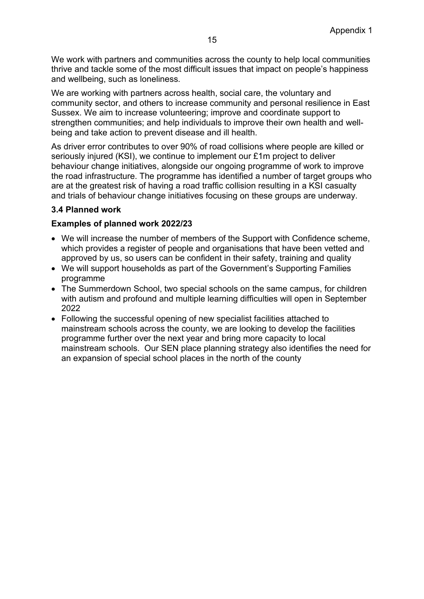We work with partners and communities across the county to help local communities thrive and tackle some of the most difficult issues that impact on people's happiness and wellbeing, such as loneliness.

We are working with partners across health, social care, the voluntary and community sector, and others to increase community and personal resilience in East Sussex. We aim to increase volunteering; improve and coordinate support to strengthen communities; and help individuals to improve their own health and wellbeing and take action to prevent disease and ill health.

As driver error contributes to over 90% of road collisions where people are killed or seriously injured (KSI), we continue to implement our £1m project to deliver behaviour change initiatives, alongside our ongoing programme of work to improve the road infrastructure. The programme has identified a number of target groups who are at the greatest risk of having a road traffic collision resulting in a KSI casualty and trials of behaviour change initiatives focusing on these groups are underway.

## **3.4 Planned work**

#### **Examples of planned work 2022/23**

- We will increase the number of members of the Support with Confidence scheme, which provides a register of people and organisations that have been vetted and approved by us, so users can be confident in their safety, training and quality
- We will support households as part of the Government's Supporting Families programme
- The Summerdown School, two special schools on the same campus, for children with autism and profound and multiple learning difficulties will open in September 2022
- Following the successful opening of new specialist facilities attached to mainstream schools across the county, we are looking to develop the facilities programme further over the next year and bring more capacity to local mainstream schools. Our SEN place planning strategy also identifies the need for an expansion of special school places in the north of the county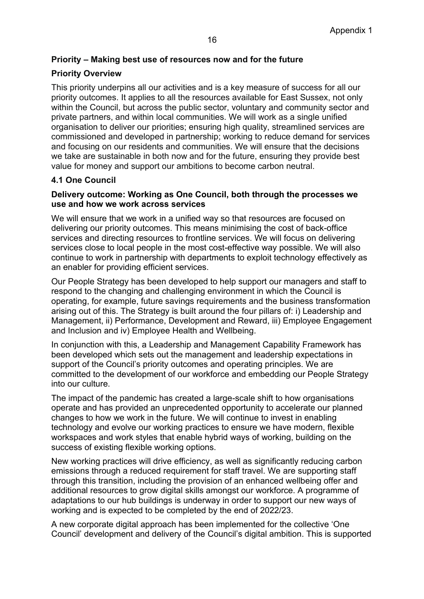## **Priority – Making best use of resources now and for the future**

## **Priority Overview**

This priority underpins all our activities and is a key measure of success for all our priority outcomes. It applies to all the resources available for East Sussex, not only within the Council, but across the public sector, voluntary and community sector and private partners, and within local communities. We will work as a single unified organisation to deliver our priorities; ensuring high quality, streamlined services are commissioned and developed in partnership; working to reduce demand for services and focusing on our residents and communities. We will ensure that the decisions we take are sustainable in both now and for the future, ensuring they provide best value for money and support our ambitions to become carbon neutral.

## **4.1 One Council**

#### **Delivery outcome: Working as One Council, both through the processes we use and how we work across services**

We will ensure that we work in a unified way so that resources are focused on delivering our priority outcomes. This means minimising the cost of back-office services and directing resources to frontline services. We will focus on delivering services close to local people in the most cost-effective way possible. We will also continue to work in partnership with departments to exploit technology effectively as an enabler for providing efficient services.

Our People Strategy has been developed to help support our managers and staff to respond to the changing and challenging environment in which the Council is operating, for example, future savings requirements and the business transformation arising out of this. The Strategy is built around the four pillars of: i) Leadership and Management, ii) Performance, Development and Reward, iii) Employee Engagement and Inclusion and iv) Employee Health and Wellbeing.

In conjunction with this, a Leadership and Management Capability Framework has been developed which sets out the management and leadership expectations in support of the Council's priority outcomes and operating principles. We are committed to the development of our workforce and embedding our People Strategy into our culture.

The impact of the pandemic has created a large-scale shift to how organisations operate and has provided an unprecedented opportunity to accelerate our planned changes to how we work in the future. We will continue to invest in enabling technology and evolve our working practices to ensure we have modern, flexible workspaces and work styles that enable hybrid ways of working, building on the success of existing flexible working options.

New working practices will drive efficiency, as well as significantly reducing carbon emissions through a reduced requirement for staff travel. We are supporting staff through this transition, including the provision of an enhanced wellbeing offer and additional resources to grow digital skills amongst our workforce. A programme of adaptations to our hub buildings is underway in order to support our new ways of working and is expected to be completed by the end of 2022/23.

A new corporate digital approach has been implemented for the collective 'One Council' development and delivery of the Council's digital ambition. This is supported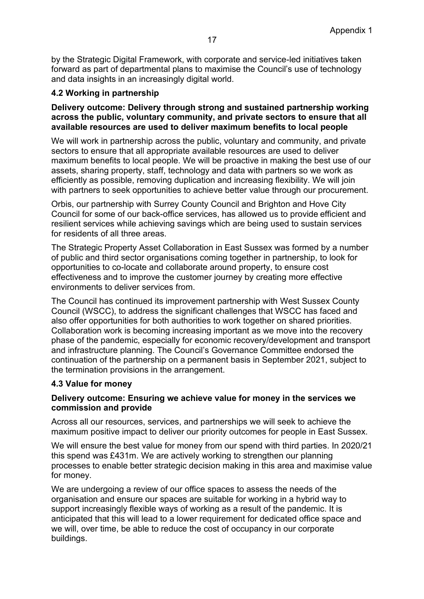by the Strategic Digital Framework, with corporate and service-led initiatives taken forward as part of departmental plans to maximise the Council's use of technology and data insights in an increasingly digital world.

## **4.2 Working in partnership**

#### **Delivery outcome: Delivery through strong and sustained partnership working across the public, voluntary community, and private sectors to ensure that all available resources are used to deliver maximum benefits to local people**

We will work in partnership across the public, voluntary and community, and private sectors to ensure that all appropriate available resources are used to deliver maximum benefits to local people. We will be proactive in making the best use of our assets, sharing property, staff, technology and data with partners so we work as efficiently as possible, removing duplication and increasing flexibility. We will join with partners to seek opportunities to achieve better value through our procurement.

Orbis, our partnership with Surrey County Council and Brighton and Hove City Council for some of our back-office services, has allowed us to provide efficient and resilient services while achieving savings which are being used to sustain services for residents of all three areas.

The Strategic Property Asset Collaboration in East Sussex was formed by a number of public and third sector organisations coming together in partnership, to look for opportunities to co-locate and collaborate around property, to ensure cost effectiveness and to improve the customer journey by creating more effective environments to deliver services from.

The Council has continued its improvement partnership with West Sussex County Council (WSCC), to address the significant challenges that WSCC has faced and also offer opportunities for both authorities to work together on shared priorities. Collaboration work is becoming increasing important as we move into the recovery phase of the pandemic, especially for economic recovery/development and transport and infrastructure planning. The Council's Governance Committee endorsed the continuation of the partnership on a permanent basis in September 2021, subject to the termination provisions in the arrangement.

## **4.3 Value for money**

#### **Delivery outcome: Ensuring we achieve value for money in the services we commission and provide**

Across all our resources, services, and partnerships we will seek to achieve the maximum positive impact to deliver our priority outcomes for people in East Sussex.

We will ensure the best value for money from our spend with third parties. In 2020/21 this spend was £431m. We are actively working to strengthen our planning processes to enable better strategic decision making in this area and maximise value for money.

We are undergoing a review of our office spaces to assess the needs of the organisation and ensure our spaces are suitable for working in a hybrid way to support increasingly flexible ways of working as a result of the pandemic. It is anticipated that this will lead to a lower requirement for dedicated office space and we will, over time, be able to reduce the cost of occupancy in our corporate buildings.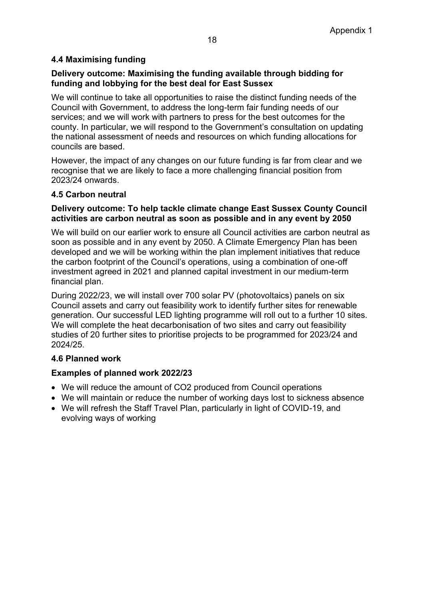## **4.4 Maximising funding**

## **Delivery outcome: Maximising the funding available through bidding for funding and lobbying for the best deal for East Sussex**

We will continue to take all opportunities to raise the distinct funding needs of the Council with Government, to address the long-term fair funding needs of our services; and we will work with partners to press for the best outcomes for the county. In particular, we will respond to the Government's consultation on updating the national assessment of needs and resources on which funding allocations for councils are based.

However, the impact of any changes on our future funding is far from clear and we recognise that we are likely to face a more challenging financial position from 2023/24 onwards.

#### **4.5 Carbon neutral**

#### **Delivery outcome: To help tackle climate change East Sussex County Council activities are carbon neutral as soon as possible and in any event by 2050**

We will build on our earlier work to ensure all Council activities are carbon neutral as soon as possible and in any event by 2050. A Climate Emergency Plan has been developed and we will be working within the plan implement initiatives that reduce the carbon footprint of the Council's operations, using a combination of one-off investment agreed in 2021 and planned capital investment in our medium-term financial plan.

During 2022/23, we will install over 700 solar PV (photovoltaics) panels on six Council assets and carry out feasibility work to identify further sites for renewable generation. Our successful LED lighting programme will roll out to a further 10 sites. We will complete the heat decarbonisation of two sites and carry out feasibility studies of 20 further sites to prioritise projects to be programmed for 2023/24 and 2024/25.

#### **4.6 Planned work**

#### **Examples of planned work 2022/23**

- We will reduce the amount of CO2 produced from Council operations
- We will maintain or reduce the number of working days lost to sickness absence
- We will refresh the Staff Travel Plan, particularly in light of COVID-19, and evolving ways of working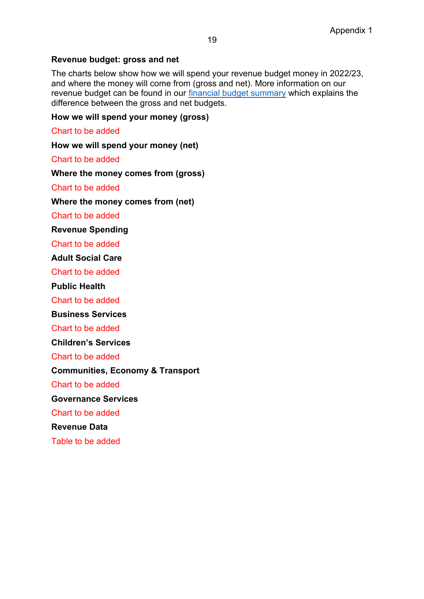## **Revenue budget: gross and net**

The charts below show how we will spend your revenue budget money in 2022/23, and where the money will come from (gross and net). More information on our revenue budget can be found in our [financial budget summary](https://www.eastsussex.gov.uk/yourcouncil/finance/futurespend/summary/) which explains the difference between the gross and net budgets.

**How we will spend your money (gross)**

Chart to be added

**How we will spend your money (net)**

Chart to be added

**Where the money comes from (gross)**

Chart to be added

**Where the money comes from (net)**

Chart to be added

**Revenue Spending**

Chart to be added

**Adult Social Care**

Chart to be added

**Public Health**

Chart to be added

**Business Services**

Chart to be added

**Children's Services**

Chart to be added

**Communities, Economy & Transport**

Chart to be added

**Governance Services**

Chart to be added

**Revenue Data**

Table to be added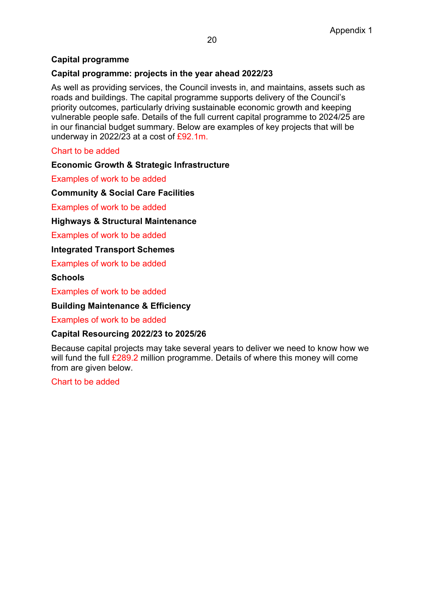## **Capital programme**

#### **Capital programme: projects in the year ahead 2022/23**

As well as providing services, the Council invests in, and maintains, assets such as roads and buildings. The capital programme supports delivery of the Council's priority outcomes, particularly driving sustainable economic growth and keeping vulnerable people safe. Details of the full current capital programme to 2024/25 are in our financial budget summary. Below are examples of key projects that will be underway in 2022/23 at a cost of £92.1m.

#### Chart to be added

#### **Economic Growth & Strategic Infrastructure**

Examples of work to be added

**Community & Social Care Facilities**

Examples of work to be added

#### **Highways & Structural Maintenance**

Examples of work to be added

#### **Integrated Transport Schemes**

Examples of work to be added

#### **Schools**

Examples of work to be added

#### **Building Maintenance & Efficiency**

Examples of work to be added

#### **Capital Resourcing 2022/23 to 2025/26**

Because capital projects may take several years to deliver we need to know how we will fund the full £289.2 million programme. Details of where this money will come from are given below.

#### Chart to be added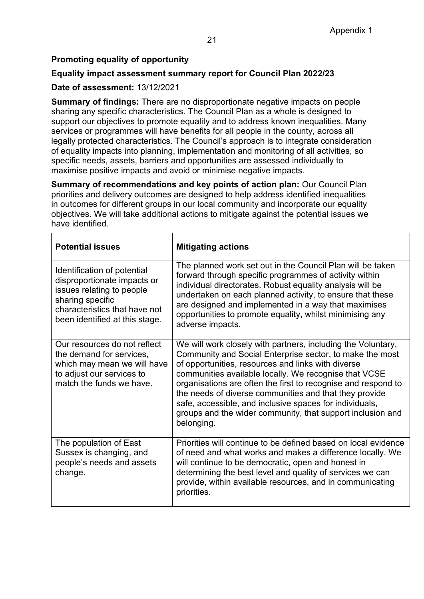## **Promoting equality of opportunity**

## **Equality impact assessment summary report for Council Plan 2022/23**

## **Date of assessment:** 13/12/2021

**Summary of findings:** There are no disproportionate negative impacts on people sharing any specific characteristics. The Council Plan as a whole is designed to support our objectives to promote equality and to address known inequalities. Many services or programmes will have benefits for all people in the county, across all legally protected characteristics. The Council's approach is to integrate consideration of equality impacts into planning, implementation and monitoring of all activities, so specific needs, assets, barriers and opportunities are assessed individually to maximise positive impacts and avoid or minimise negative impacts.

**Summary of recommendations and key points of action plan:** Our Council Plan priorities and delivery outcomes are designed to help address identified inequalities in outcomes for different groups in our local community and incorporate our equality objectives. We will take additional actions to mitigate against the potential issues we have identified.

| <b>Potential issues</b>                                                                                                                                                        | <b>Mitigating actions</b>                                                                                                                                                                                                                                                                                                                                                                                                                                                                                 |
|--------------------------------------------------------------------------------------------------------------------------------------------------------------------------------|-----------------------------------------------------------------------------------------------------------------------------------------------------------------------------------------------------------------------------------------------------------------------------------------------------------------------------------------------------------------------------------------------------------------------------------------------------------------------------------------------------------|
| Identification of potential<br>disproportionate impacts or<br>issues relating to people<br>sharing specific<br>characteristics that have not<br>been identified at this stage. | The planned work set out in the Council Plan will be taken<br>forward through specific programmes of activity within<br>individual directorates. Robust equality analysis will be<br>undertaken on each planned activity, to ensure that these<br>are designed and implemented in a way that maximises<br>opportunities to promote equality, whilst minimising any<br>adverse impacts.                                                                                                                    |
| Our resources do not reflect<br>the demand for services,<br>which may mean we will have<br>to adjust our services to<br>match the funds we have.                               | We will work closely with partners, including the Voluntary,<br>Community and Social Enterprise sector, to make the most<br>of opportunities, resources and links with diverse<br>communities available locally. We recognise that VCSE<br>organisations are often the first to recognise and respond to<br>the needs of diverse communities and that they provide<br>safe, accessible, and inclusive spaces for individuals,<br>groups and the wider community, that support inclusion and<br>belonging. |
| The population of East<br>Sussex is changing, and<br>people's needs and assets<br>change.                                                                                      | Priorities will continue to be defined based on local evidence<br>of need and what works and makes a difference locally. We<br>will continue to be democratic, open and honest in<br>determining the best level and quality of services we can<br>provide, within available resources, and in communicating<br>priorities.                                                                                                                                                                                |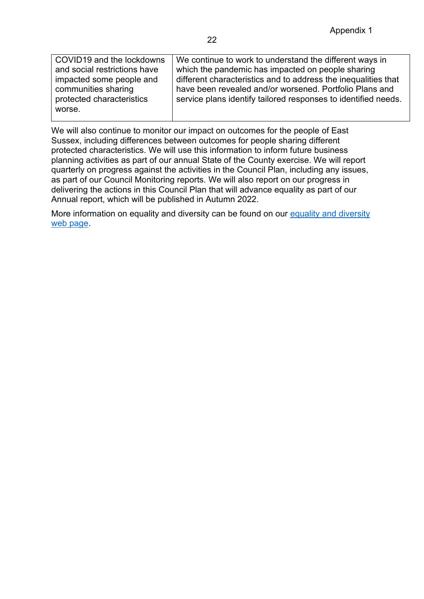| COVID19 and the lockdowns    | We continue to work to understand the different ways in        |
|------------------------------|----------------------------------------------------------------|
| and social restrictions have | which the pandemic has impacted on people sharing              |
| impacted some people and     | different characteristics and to address the inequalities that |
| communities sharing          | have been revealed and/or worsened. Portfolio Plans and        |
| protected characteristics    | service plans identify tailored responses to identified needs. |
| worse.                       |                                                                |
|                              |                                                                |

We will also continue to monitor our impact on outcomes for the people of East Sussex, including differences between outcomes for people sharing different protected characteristics. We will use this information to inform future business planning activities as part of our annual State of the County exercise. We will report quarterly on progress against the activities in the Council Plan, including any issues, as part of our Council Monitoring reports. We will also report on our progress in delivering the actions in this Council Plan that will advance equality as part of our Annual report, which will be published in Autumn 2022.

More information on equality and diversity can be found on our [equality and diversity](https://www.eastsussex.gov.uk/yourcouncil/about/keydocuments/equalities/)  [web page.](https://www.eastsussex.gov.uk/yourcouncil/about/keydocuments/equalities/)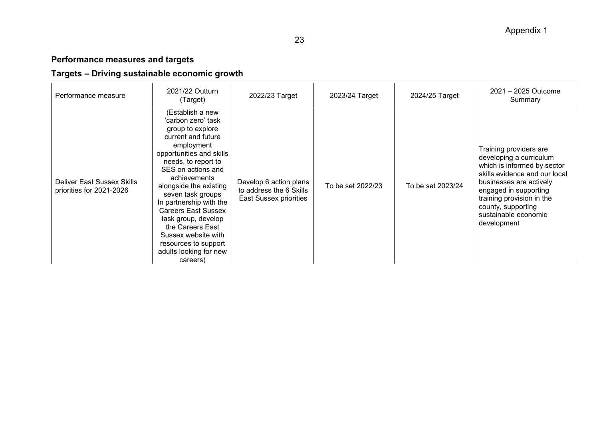# **Performance measures and targets**

# **Targets – Driving sustainable economic growth**

| Performance measure                                    | 2021/22 Outturn<br>(Target)                                                                                                                                                                                                                                                                                                                                                                                                     | 2022/23 Target                                                              | 2023/24 Target    | 2024/25 Target    | 2021 - 2025 Outcome<br>Summary                                                                                                                                                                                                                                  |
|--------------------------------------------------------|---------------------------------------------------------------------------------------------------------------------------------------------------------------------------------------------------------------------------------------------------------------------------------------------------------------------------------------------------------------------------------------------------------------------------------|-----------------------------------------------------------------------------|-------------------|-------------------|-----------------------------------------------------------------------------------------------------------------------------------------------------------------------------------------------------------------------------------------------------------------|
| Deliver East Sussex Skills<br>priorities for 2021-2026 | (Establish a new<br>'carbon zero' task<br>group to explore<br>current and future<br>employment<br>opportunities and skills<br>needs, to report to<br>SES on actions and<br>achievements<br>alongside the existing<br>seven task groups<br>In partnership with the<br><b>Careers East Sussex</b><br>task group, develop<br>the Careers East<br>Sussex website with<br>resources to support<br>adults looking for new<br>careers) | Develop 6 action plans<br>to address the 6 Skills<br>East Sussex priorities | To be set 2022/23 | To be set 2023/24 | Training providers are<br>developing a curriculum<br>which is informed by sector<br>skills evidence and our local<br>businesses are actively<br>engaged in supporting<br>training provision in the<br>county, supporting<br>sustainable economic<br>development |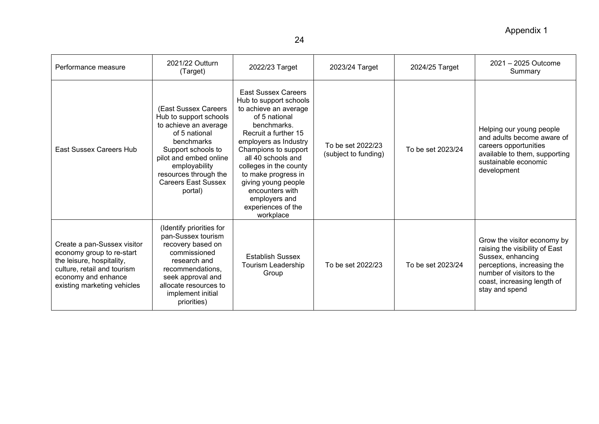# Appendix 1

| Performance measure                                                                                                                                                        | 2021/22 Outturn<br>(Target)                                                                                                                                                                                                               | 2022/23 Target                                                                                                                                                                                                                                                                                                                                              | 2023/24 Target                            | 2024/25 Target    | $2021 - 2025$ Outcome<br>Summary                                                                                                                                                                |
|----------------------------------------------------------------------------------------------------------------------------------------------------------------------------|-------------------------------------------------------------------------------------------------------------------------------------------------------------------------------------------------------------------------------------------|-------------------------------------------------------------------------------------------------------------------------------------------------------------------------------------------------------------------------------------------------------------------------------------------------------------------------------------------------------------|-------------------------------------------|-------------------|-------------------------------------------------------------------------------------------------------------------------------------------------------------------------------------------------|
| <b>East Sussex Careers Hub</b>                                                                                                                                             | (East Sussex Careers<br>Hub to support schools<br>to achieve an average<br>of 5 national<br>benchmarks<br>Support schools to<br>pilot and embed online<br>employability<br>resources through the<br><b>Careers East Sussex</b><br>portal) | <b>East Sussex Careers</b><br>Hub to support schools<br>to achieve an average<br>of 5 national<br>benchmarks.<br>Recruit a further 15<br>employers as Industry<br>Champions to support<br>all 40 schools and<br>colleges in the county<br>to make progress in<br>giving young people<br>encounters with<br>employers and<br>experiences of the<br>workplace | To be set 2022/23<br>(subject to funding) | To be set 2023/24 | Helping our young people<br>and adults become aware of<br>careers opportunities<br>available to them, supporting<br>sustainable economic<br>development                                         |
| Create a pan-Sussex visitor<br>economy group to re-start<br>the leisure, hospitality,<br>culture, retail and tourism<br>economy and enhance<br>existing marketing vehicles | (Identify priorities for<br>pan-Sussex tourism<br>recovery based on<br>commissioned<br>research and<br>recommendations.<br>seek approval and<br>allocate resources to<br>implement initial<br>priorities)                                 | <b>Establish Sussex</b><br>Tourism Leadership<br>Group                                                                                                                                                                                                                                                                                                      | To be set 2022/23                         | To be set 2023/24 | Grow the visitor economy by<br>raising the visibility of East<br>Sussex, enhancing<br>perceptions, increasing the<br>number of visitors to the<br>coast, increasing length of<br>stay and spend |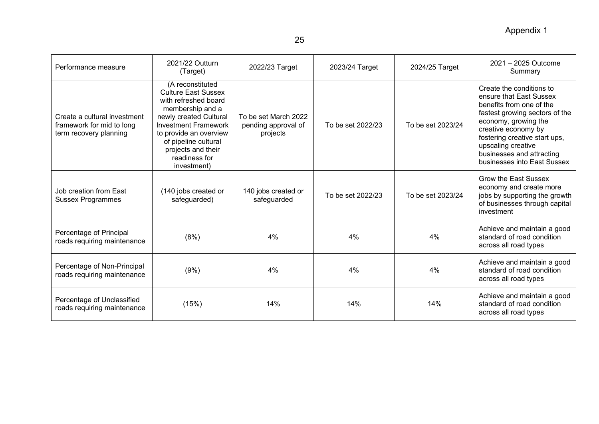Appendix 1

| Performance measure                                                                 | 2021/22 Outturn<br>(Target)                                                                                                                                                                                                                                 | 2022/23 Target                                          | 2023/24 Target    | 2024/25 Target    | 2021 - 2025 Outcome<br>Summary                                                                                                                                                                                                                                                      |
|-------------------------------------------------------------------------------------|-------------------------------------------------------------------------------------------------------------------------------------------------------------------------------------------------------------------------------------------------------------|---------------------------------------------------------|-------------------|-------------------|-------------------------------------------------------------------------------------------------------------------------------------------------------------------------------------------------------------------------------------------------------------------------------------|
| Create a cultural investment<br>framework for mid to long<br>term recovery planning | (A reconstituted<br><b>Culture East Sussex</b><br>with refreshed board<br>membership and a<br>newly created Cultural<br><b>Investment Framework</b><br>to provide an overview<br>of pipeline cultural<br>projects and their<br>readiness for<br>investment) | To be set March 2022<br>pending approval of<br>projects | To be set 2022/23 | To be set 2023/24 | Create the conditions to<br>ensure that East Sussex<br>benefits from one of the<br>fastest growing sectors of the<br>economy, growing the<br>creative economy by<br>fostering creative start ups,<br>upscaling creative<br>businesses and attracting<br>businesses into East Sussex |
| Job creation from East<br><b>Sussex Programmes</b>                                  | (140 jobs created or<br>safeguarded)                                                                                                                                                                                                                        | 140 jobs created or<br>safeguarded                      | To be set 2022/23 | To be set 2023/24 | Grow the East Sussex<br>economy and create more<br>jobs by supporting the growth<br>of businesses through capital<br>investment                                                                                                                                                     |
| Percentage of Principal<br>roads requiring maintenance                              | (8%)                                                                                                                                                                                                                                                        | 4%                                                      | 4%                | 4%                | Achieve and maintain a good<br>standard of road condition<br>across all road types                                                                                                                                                                                                  |
| Percentage of Non-Principal<br>roads requiring maintenance                          | (9%)                                                                                                                                                                                                                                                        | 4%                                                      | 4%                | 4%                | Achieve and maintain a good<br>standard of road condition<br>across all road types                                                                                                                                                                                                  |
| Percentage of Unclassified<br>roads requiring maintenance                           | (15%)                                                                                                                                                                                                                                                       | 14%                                                     | 14%               | 14%               | Achieve and maintain a good<br>standard of road condition<br>across all road types                                                                                                                                                                                                  |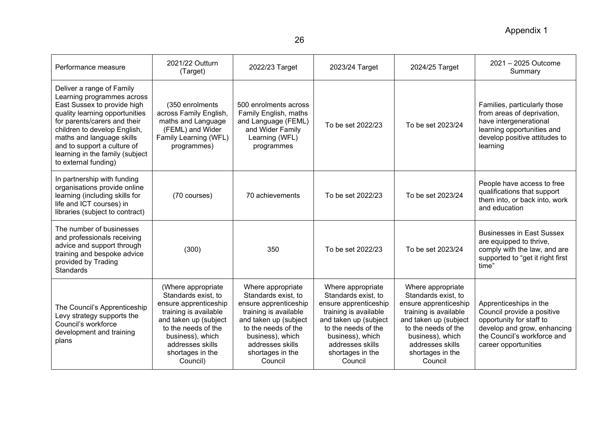| Performance measure                                                                                                                                                                                                                                                                                             | 2021/22 Outturn<br>(Target)                                                                                                                                                                                         | 2022/23 Target                                                                                                                                                                                                    | 2023/24 Target                                                                                                                                                                                                    | 2024/25 Target                                                                                                                                                                                                    | 2021 - 2025 Outcome<br>Summary                                                                                                                                         |
|-----------------------------------------------------------------------------------------------------------------------------------------------------------------------------------------------------------------------------------------------------------------------------------------------------------------|---------------------------------------------------------------------------------------------------------------------------------------------------------------------------------------------------------------------|-------------------------------------------------------------------------------------------------------------------------------------------------------------------------------------------------------------------|-------------------------------------------------------------------------------------------------------------------------------------------------------------------------------------------------------------------|-------------------------------------------------------------------------------------------------------------------------------------------------------------------------------------------------------------------|------------------------------------------------------------------------------------------------------------------------------------------------------------------------|
| Deliver a range of Family<br>Learning programmes across<br>East Sussex to provide high<br>quality learning opportunities<br>for parents/carers and their<br>children to develop English,<br>maths and language skills<br>and to support a culture of<br>learning in the family (subject<br>to external funding) | (350 enrolments<br>across Family English,<br>maths and Language<br>(FEML) and Wider<br>Family Learning (WFL)<br>programmes)                                                                                         | 500 enrolments across<br>Family English, maths<br>and Language (FEML)<br>and Wider Family<br>Learning (WFL)<br>programmes                                                                                         | To be set 2022/23                                                                                                                                                                                                 | To be set 2023/24                                                                                                                                                                                                 | Families, particularly those<br>from areas of deprivation,<br>have intergenerational<br>learning opportunities and<br>develop positive attitudes to<br>learning        |
| In partnership with funding<br>organisations provide online<br>learning (including skills for<br>life and ICT courses) in<br>libraries (subject to contract)                                                                                                                                                    | (70 courses)                                                                                                                                                                                                        | 70 achievements                                                                                                                                                                                                   | To be set 2022/23                                                                                                                                                                                                 | To be set 2023/24                                                                                                                                                                                                 | People have access to free<br>qualifications that support<br>them into, or back into, work<br>and education                                                            |
| The number of businesses<br>and professionals receiving<br>advice and support through<br>training and bespoke advice<br>provided by Trading<br><b>Standards</b>                                                                                                                                                 | (300)                                                                                                                                                                                                               | 350                                                                                                                                                                                                               | To be set 2022/23                                                                                                                                                                                                 | To be set 2023/24                                                                                                                                                                                                 | <b>Businesses in East Sussex</b><br>are equipped to thrive,<br>comply with the law, and are<br>supported to "get it right first<br>time"                               |
| The Council's Apprenticeship<br>Levy strategy supports the<br>Council's workforce<br>development and training<br>plans                                                                                                                                                                                          | (Where appropriate<br>Standards exist, to<br>ensure apprenticeship<br>training is available<br>and taken up (subject<br>to the needs of the<br>business), which<br>addresses skills<br>shortages in the<br>Council) | Where appropriate<br>Standards exist, to<br>ensure apprenticeship<br>training is available<br>and taken up (subject<br>to the needs of the<br>business), which<br>addresses skills<br>shortages in the<br>Council | Where appropriate<br>Standards exist, to<br>ensure apprenticeship<br>training is available<br>and taken up (subject<br>to the needs of the<br>business), which<br>addresses skills<br>shortages in the<br>Council | Where appropriate<br>Standards exist, to<br>ensure apprenticeship<br>training is available<br>and taken up (subject<br>to the needs of the<br>business), which<br>addresses skills<br>shortages in the<br>Council | Apprenticeships in the<br>Council provide a positive<br>opportunity for staff to<br>develop and grow, enhancing<br>the Council's workforce and<br>career opportunities |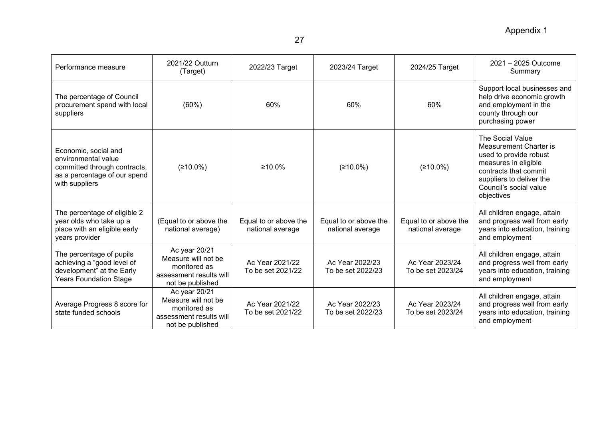| Performance measure                                                                                                           | 2021/22 Outturn<br>(Target)                                                                         | 2022/23 Target                            | 2023/24 Target                            | 2024/25 Target                            | 2021 - 2025 Outcome<br>Summary                                                                                                                                                            |
|-------------------------------------------------------------------------------------------------------------------------------|-----------------------------------------------------------------------------------------------------|-------------------------------------------|-------------------------------------------|-------------------------------------------|-------------------------------------------------------------------------------------------------------------------------------------------------------------------------------------------|
| The percentage of Council<br>procurement spend with local<br>suppliers                                                        | (60%)                                                                                               | 60%                                       | 60%                                       | 60%                                       | Support local businesses and<br>help drive economic growth<br>and employment in the<br>county through our<br>purchasing power                                                             |
| Economic, social and<br>environmental value<br>committed through contracts,<br>as a percentage of our spend<br>with suppliers | (≥10.0%)                                                                                            | $\geq 10.0\%$                             | (≥10.0%)                                  | (≥10.0%)                                  | The Social Value<br>Measurement Charter is<br>used to provide robust<br>measures in eligible<br>contracts that commit<br>suppliers to deliver the<br>Council's social value<br>objectives |
| The percentage of eligible 2<br>year olds who take up a<br>place with an eligible early<br>years provider                     | (Equal to or above the<br>national average)                                                         | Equal to or above the<br>national average | Equal to or above the<br>national average | Equal to or above the<br>national average | All children engage, attain<br>and progress well from early<br>years into education, training<br>and employment                                                                           |
| The percentage of pupils<br>achieving a "good level of<br>development" at the Early<br><b>Years Foundation Stage</b>          | Ac year 20/21<br>Measure will not be<br>monitored as<br>assessment results will<br>not be published | Ac Year 2021/22<br>To be set 2021/22      | Ac Year 2022/23<br>To be set 2022/23      | Ac Year 2023/24<br>To be set 2023/24      | All children engage, attain<br>and progress well from early<br>years into education, training<br>and employment                                                                           |
| Average Progress 8 score for<br>state funded schools                                                                          | Ac year 20/21<br>Measure will not be<br>monitored as<br>assessment results will<br>not be published | Ac Year 2021/22<br>To be set 2021/22      | Ac Year 2022/23<br>To be set 2022/23      | Ac Year 2023/24<br>To be set 2023/24      | All children engage, attain<br>and progress well from early<br>years into education, training<br>and employment                                                                           |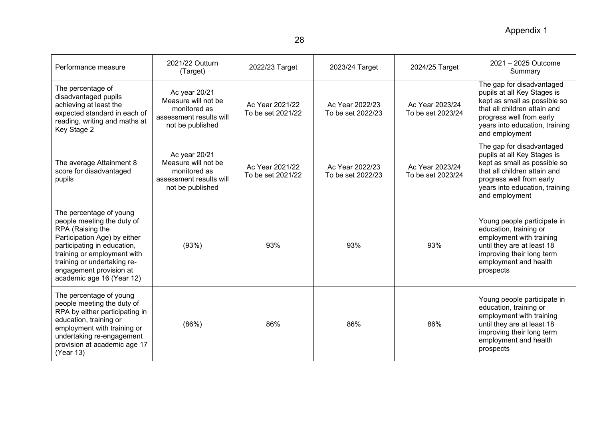| Performance measure                                                                                                                                                                                                                                            | 2021/22 Outturn<br>(Target)                                                                         | 2022/23 Target                       | 2023/24 Target                       | 2024/25 Target                       | 2021 - 2025 Outcome<br>Summary                                                                                                                                                                           |
|----------------------------------------------------------------------------------------------------------------------------------------------------------------------------------------------------------------------------------------------------------------|-----------------------------------------------------------------------------------------------------|--------------------------------------|--------------------------------------|--------------------------------------|----------------------------------------------------------------------------------------------------------------------------------------------------------------------------------------------------------|
| The percentage of<br>disadvantaged pupils<br>achieving at least the<br>expected standard in each of<br>reading, writing and maths at<br>Key Stage 2                                                                                                            | Ac year 20/21<br>Measure will not be<br>monitored as<br>assessment results will<br>not be published | Ac Year 2021/22<br>To be set 2021/22 | Ac Year 2022/23<br>To be set 2022/23 | Ac Year 2023/24<br>To be set 2023/24 | The gap for disadvantaged<br>pupils at all Key Stages is<br>kept as small as possible so<br>that all children attain and<br>progress well from early<br>years into education, training<br>and employment |
| The average Attainment 8<br>score for disadvantaged<br>pupils                                                                                                                                                                                                  | Ac year 20/21<br>Measure will not be<br>monitored as<br>assessment results will<br>not be published | Ac Year 2021/22<br>To be set 2021/22 | Ac Year 2022/23<br>To be set 2022/23 | Ac Year 2023/24<br>To be set 2023/24 | The gap for disadvantaged<br>pupils at all Key Stages is<br>kept as small as possible so<br>that all children attain and<br>progress well from early<br>years into education, training<br>and employment |
| The percentage of young<br>people meeting the duty of<br>RPA (Raising the<br>Participation Age) by either<br>participating in education,<br>training or employment with<br>training or undertaking re-<br>engagement provision at<br>academic age 16 (Year 12) | (93%)                                                                                               | 93%                                  | 93%                                  | 93%                                  | Young people participate in<br>education, training or<br>employment with training<br>until they are at least 18<br>improving their long term<br>employment and health<br>prospects                       |
| The percentage of young<br>people meeting the duty of<br>RPA by either participating in<br>education, training or<br>employment with training or<br>undertaking re-engagement<br>provision at academic age 17<br>(Year 13)                                     | (86%)                                                                                               | 86%                                  | 86%                                  | 86%                                  | Young people participate in<br>education, training or<br>employment with training<br>until they are at least 18<br>improving their long term<br>employment and health<br>prospects                       |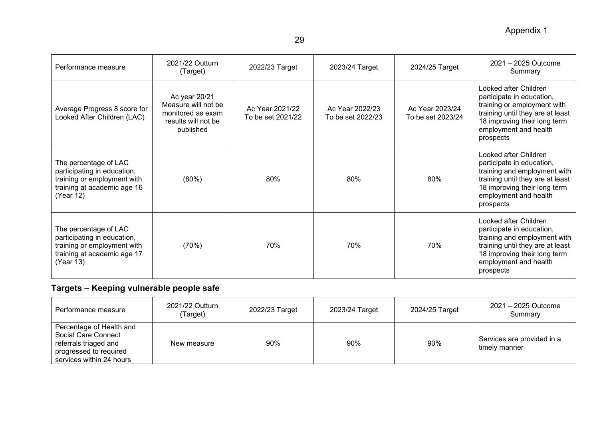| Performance measure                                                                                                             | 2021/22 Outturn<br>(Target)                                                                   | 2022/23 Target                       | 2023/24 Target                       | 2024/25 Target                       | 2021 - 2025 Outcome<br>Summary                                                                                                                                                               |
|---------------------------------------------------------------------------------------------------------------------------------|-----------------------------------------------------------------------------------------------|--------------------------------------|--------------------------------------|--------------------------------------|----------------------------------------------------------------------------------------------------------------------------------------------------------------------------------------------|
| Average Progress 8 score for<br>Looked After Children (LAC)                                                                     | Ac year 20/21<br>Measure will not be<br>monitored as exam<br>results will not be<br>published | Ac Year 2021/22<br>To be set 2021/22 | Ac Year 2022/23<br>To be set 2022/23 | Ac Year 2023/24<br>To be set 2023/24 | Looked after Children<br>participate in education,<br>training or employment with<br>training until they are at least<br>18 improving their long term<br>employment and health<br>prospects  |
| The percentage of LAC<br>participating in education,<br>training or employment with<br>training at academic age 16<br>(Year 12) | (80%)                                                                                         | 80%                                  | 80%                                  | 80%                                  | Looked after Children<br>participate in education,<br>training and employment with<br>training until they are at least<br>18 improving their long term<br>employment and health<br>prospects |
| The percentage of LAC<br>participating in education,<br>training or employment with<br>training at academic age 17<br>(Year 13) | (70%)                                                                                         | 70%                                  | 70%                                  | 70%                                  | Looked after Children<br>participate in education,<br>training and employment with<br>training until they are at least<br>18 improving their long term<br>employment and health<br>prospects |

# **Targets – Keeping vulnerable people safe**

| Performance measure                                                                                                            | 2021/22 Outturn<br>(Target) | 2022/23 Target | 2023/24 Target | 2024/25 Target | 2021 – 2025 Outcome<br>Summary              |
|--------------------------------------------------------------------------------------------------------------------------------|-----------------------------|----------------|----------------|----------------|---------------------------------------------|
| Percentage of Health and<br>Social Care Connect<br>referrals triaged and<br>progressed to required<br>services within 24 hours | New measure                 | 90%            | 90%            | 90%            | Services are provided in a<br>timely manner |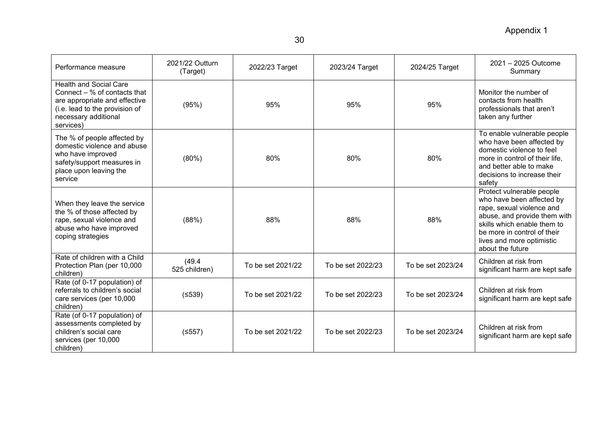| Performance measure                                                                                                                                                     | 2021/22 Outturn<br>(Target) | 2022/23 Target    | 2023/24 Target    | 2024/25 Target    | 2021 - 2025 Outcome<br>Summary                                                                                                                                                                                                     |
|-------------------------------------------------------------------------------------------------------------------------------------------------------------------------|-----------------------------|-------------------|-------------------|-------------------|------------------------------------------------------------------------------------------------------------------------------------------------------------------------------------------------------------------------------------|
| <b>Health and Social Care</b><br>Connect $-$ % of contacts that<br>are appropriate and effective<br>(i.e. lead to the provision of<br>necessary additional<br>services) | (95%)                       | 95%               | 95%               | 95%               | Monitor the number of<br>contacts from health<br>professionals that aren't<br>taken any further                                                                                                                                    |
| The % of people affected by<br>domestic violence and abuse<br>who have improved<br>safety/support measures in<br>place upon leaving the<br>service                      | (80%)                       | 80%               | 80%               | 80%               | To enable vulnerable people<br>who have been affected by<br>domestic violence to feel<br>more in control of their life,<br>and better able to make<br>decisions to increase their<br>safety                                        |
| When they leave the service<br>the % of those affected by<br>rape, sexual violence and<br>abuse who have improved<br>coping strategies                                  | (88%)                       | 88%               | 88%               | 88%               | Protect vulnerable people<br>who have been affected by<br>rape, sexual violence and<br>abuse, and provide them with<br>skills which enable them to<br>be more in control of their<br>lives and more optimistic<br>about the future |
| Rate of children with a Child<br>Protection Plan (per 10,000<br>children)                                                                                               | (49.4)<br>525 children)     | To be set 2021/22 | To be set 2022/23 | To be set 2023/24 | Children at risk from<br>significant harm are kept safe                                                                                                                                                                            |
| Rate (of 0-17 population) of<br>referrals to children's social<br>care services (per 10,000<br>children)                                                                | (≤539)                      | To be set 2021/22 | To be set 2022/23 | To be set 2023/24 | Children at risk from<br>significant harm are kept safe                                                                                                                                                                            |
| Rate (of 0-17 population) of<br>assessments completed by<br>children's social care<br>services (per 10,000<br>children)                                                 | (5557)                      | To be set 2021/22 | To be set 2022/23 | To be set 2023/24 | Children at risk from<br>significant harm are kept safe                                                                                                                                                                            |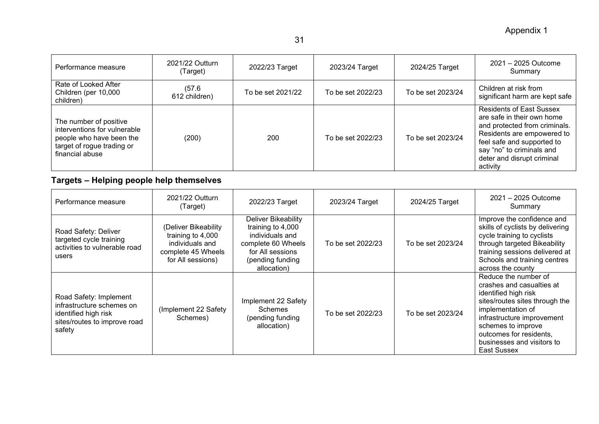| Performance measure                                                                                                                 | 2021/22 Outturn<br>(Target) | 2022/23 Target    | 2023/24 Target    | 2024/25 Target    | 2021 - 2025 Outcome<br>Summary                                                                                                                                                                                                    |
|-------------------------------------------------------------------------------------------------------------------------------------|-----------------------------|-------------------|-------------------|-------------------|-----------------------------------------------------------------------------------------------------------------------------------------------------------------------------------------------------------------------------------|
| Rate of Looked After<br>Children (per 10,000<br>children)                                                                           | (57.6)<br>612 children)     | To be set 2021/22 | To be set 2022/23 | To be set 2023/24 | Children at risk from<br>significant harm are kept safe                                                                                                                                                                           |
| The number of positive<br>interventions for vulnerable<br>people who have been the<br>target of rogue trading or<br>financial abuse | (200)                       | 200               | To be set 2022/23 | To be set 2023/24 | <b>Residents of East Sussex</b><br>are safe in their own home<br>and protected from criminals.<br>Residents are empowered to<br>feel safe and supported to<br>say "no" to criminals and<br>deter and disrupt criminal<br>activity |

# **Targets – Helping people help themselves**

| Performance measure                                                                                                   | 2021/22 Outturn<br>(Target)                                                                             | 2022/23 Target                                                                                                                           | 2023/24 Target    | 2024/25 Target    | 2021 - 2025 Outcome<br>Summary                                                                                                                                                                                                                               |
|-----------------------------------------------------------------------------------------------------------------------|---------------------------------------------------------------------------------------------------------|------------------------------------------------------------------------------------------------------------------------------------------|-------------------|-------------------|--------------------------------------------------------------------------------------------------------------------------------------------------------------------------------------------------------------------------------------------------------------|
| Road Safety: Deliver<br>targeted cycle training<br>activities to vulnerable road<br>users                             | (Deliver Bikeability<br>training to 4,000<br>individuals and<br>complete 45 Wheels<br>for All sessions) | Deliver Bikeability<br>training to 4,000<br>individuals and<br>complete 60 Wheels<br>for All sessions<br>(pending funding<br>allocation) | To be set 2022/23 | To be set 2023/24 | Improve the confidence and<br>skills of cyclists by delivering<br>cycle training to cyclists<br>through targeted Bikeability<br>training sessions delivered at<br>Schools and training centres<br>across the county                                          |
| Road Safety: Implement<br>infrastructure schemes on<br>identified high risk<br>sites/routes to improve road<br>safety | (Implement 22 Safety<br>Schemes)                                                                        | Implement 22 Safety<br>Schemes<br>(pending funding<br>allocation)                                                                        | To be set 2022/23 | To be set 2023/24 | Reduce the number of<br>crashes and casualties at<br>identified high risk<br>sites/routes sites through the<br>implementation of<br>infrastructure improvement<br>schemes to improve<br>outcomes for residents,<br>businesses and visitors to<br>East Sussex |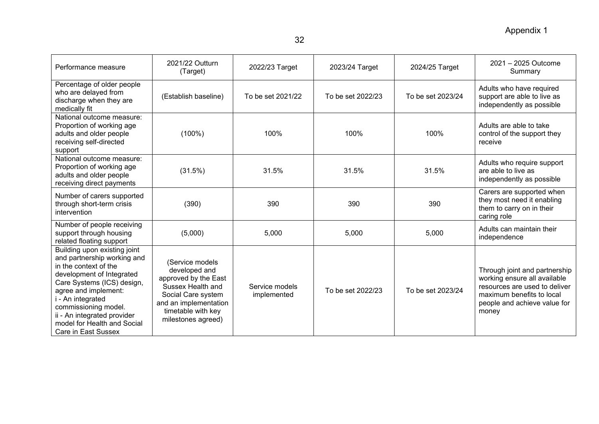| Performance measure                                                                                                                                                                                                                                                                                       | 2021/22 Outturn<br>(Target)                                                                                                                                              | 2022/23 Target                | 2023/24 Target    | 2024/25 Target    | 2021 - 2025 Outcome<br>Summary                                                                                                                                       |
|-----------------------------------------------------------------------------------------------------------------------------------------------------------------------------------------------------------------------------------------------------------------------------------------------------------|--------------------------------------------------------------------------------------------------------------------------------------------------------------------------|-------------------------------|-------------------|-------------------|----------------------------------------------------------------------------------------------------------------------------------------------------------------------|
| Percentage of older people<br>who are delayed from<br>discharge when they are<br>medically fit                                                                                                                                                                                                            | (Establish baseline)                                                                                                                                                     | To be set 2021/22             | To be set 2022/23 | To be set 2023/24 | Adults who have required<br>support are able to live as<br>independently as possible                                                                                 |
| National outcome measure:<br>Proportion of working age<br>adults and older people<br>receiving self-directed<br>support                                                                                                                                                                                   | $(100\%)$                                                                                                                                                                | 100%                          | 100%              | 100%              | Adults are able to take<br>control of the support they<br>receive                                                                                                    |
| National outcome measure:<br>Proportion of working age<br>adults and older people<br>receiving direct payments                                                                                                                                                                                            | (31.5%)                                                                                                                                                                  | 31.5%                         | 31.5%             | 31.5%             | Adults who require support<br>are able to live as<br>independently as possible                                                                                       |
| Number of carers supported<br>through short-term crisis<br>intervention                                                                                                                                                                                                                                   | (390)                                                                                                                                                                    | 390                           | 390               | 390               | Carers are supported when<br>they most need it enabling<br>them to carry on in their<br>caring role                                                                  |
| Number of people receiving<br>support through housing<br>related floating support                                                                                                                                                                                                                         | (5,000)                                                                                                                                                                  | 5,000                         | 5,000             | 5,000             | Adults can maintain their<br>independence                                                                                                                            |
| Building upon existing joint<br>and partnership working and<br>in the context of the<br>development of Integrated<br>Care Systems (ICS) design,<br>agree and implement:<br>i - An integrated<br>commissioning model.<br>ii - An integrated provider<br>model for Health and Social<br>Care in East Sussex | (Service models<br>developed and<br>approved by the East<br>Sussex Health and<br>Social Care system<br>and an implementation<br>timetable with key<br>milestones agreed) | Service models<br>implemented | To be set 2022/23 | To be set 2023/24 | Through joint and partnership<br>working ensure all available<br>resources are used to deliver<br>maximum benefits to local<br>people and achieve value for<br>money |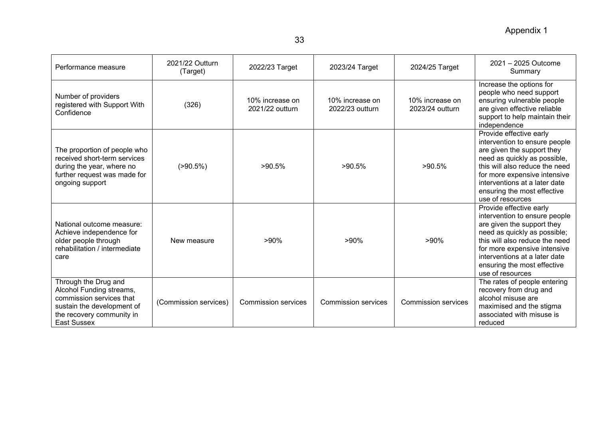| Performance measure                                                                                                                                           | 2021/22 Outturn<br>(Target) | 2022/23 Target                     | 2023/24 Target                     | 2024/25 Target                     | 2021 - 2025 Outcome<br>Summary                                                                                                                                                                                                                                               |
|---------------------------------------------------------------------------------------------------------------------------------------------------------------|-----------------------------|------------------------------------|------------------------------------|------------------------------------|------------------------------------------------------------------------------------------------------------------------------------------------------------------------------------------------------------------------------------------------------------------------------|
| Number of providers<br>registered with Support With<br>Confidence                                                                                             | (326)                       | 10% increase on<br>2021/22 outturn | 10% increase on<br>2022/23 outturn | 10% increase on<br>2023/24 outturn | Increase the options for<br>people who need support<br>ensuring vulnerable people<br>are given effective reliable<br>support to help maintain their<br>independence                                                                                                          |
| The proportion of people who<br>received short-term services<br>during the year, where no<br>further request was made for<br>ongoing support                  | $( > 90.5\%)$               | $>90.5\%$                          | >90.5%                             | $>90.5\%$                          | Provide effective early<br>intervention to ensure people<br>are given the support they<br>need as quickly as possible,<br>this will also reduce the need<br>for more expensive intensive<br>interventions at a later date<br>ensuring the most effective<br>use of resources |
| National outcome measure:<br>Achieve independence for<br>older people through<br>rehabilitation / intermediate<br>care                                        | New measure                 | $>90\%$                            | $>90\%$                            | $>90\%$                            | Provide effective early<br>intervention to ensure people<br>are given the support they<br>need as quickly as possible;<br>this will also reduce the need<br>for more expensive intensive<br>interventions at a later date<br>ensuring the most effective<br>use of resources |
| Through the Drug and<br>Alcohol Funding streams,<br>commission services that<br>sustain the development of<br>the recovery community in<br><b>East Sussex</b> | (Commission services)       | <b>Commission services</b>         | <b>Commission services</b>         | <b>Commission services</b>         | The rates of people entering<br>recovery from drug and<br>alcohol misuse are<br>maximised and the stigma<br>associated with misuse is<br>reduced                                                                                                                             |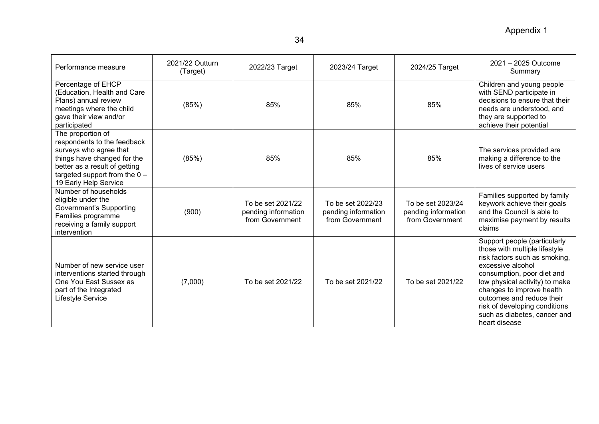| Performance measure                                                                                                                                                                                    | 2021/22 Outturn<br>(Target) | 2022/23 Target                                              | 2023/24 Target                                              | 2024/25 Target                                              | 2021 - 2025 Outcome<br>Summary                                                                                                                                                                                                                                                                                                  |
|--------------------------------------------------------------------------------------------------------------------------------------------------------------------------------------------------------|-----------------------------|-------------------------------------------------------------|-------------------------------------------------------------|-------------------------------------------------------------|---------------------------------------------------------------------------------------------------------------------------------------------------------------------------------------------------------------------------------------------------------------------------------------------------------------------------------|
| Percentage of EHCP<br>(Education, Health and Care<br>Plans) annual review<br>meetings where the child<br>gave their view and/or<br>participated                                                        | (85%)                       | 85%                                                         | 85%                                                         | 85%                                                         | Children and young people<br>with SEND participate in<br>decisions to ensure that their<br>needs are understood, and<br>they are supported to<br>achieve their potential                                                                                                                                                        |
| The proportion of<br>respondents to the feedback<br>surveys who agree that<br>things have changed for the<br>better as a result of getting<br>targeted support from the $0 -$<br>19 Early Help Service | (85%)                       | 85%                                                         | 85%                                                         | 85%                                                         | The services provided are<br>making a difference to the<br>lives of service users                                                                                                                                                                                                                                               |
| Number of households<br>eligible under the<br><b>Government's Supporting</b><br>Families programme<br>receiving a family support<br>intervention                                                       | (900)                       | To be set 2021/22<br>pending information<br>from Government | To be set 2022/23<br>pending information<br>from Government | To be set 2023/24<br>pending information<br>from Government | Families supported by family<br>keywork achieve their goals<br>and the Council is able to<br>maximise payment by results<br>claims                                                                                                                                                                                              |
| Number of new service user<br>interventions started through<br>One You East Sussex as<br>part of the Integrated<br>Lifestyle Service                                                                   | (7,000)                     | To be set 2021/22                                           | To be set 2021/22                                           | To be set 2021/22                                           | Support people (particularly<br>those with multiple lifestyle<br>risk factors such as smoking,<br>excessive alcohol<br>consumption, poor diet and<br>low physical activity) to make<br>changes to improve health<br>outcomes and reduce their<br>risk of developing conditions<br>such as diabetes, cancer and<br>heart disease |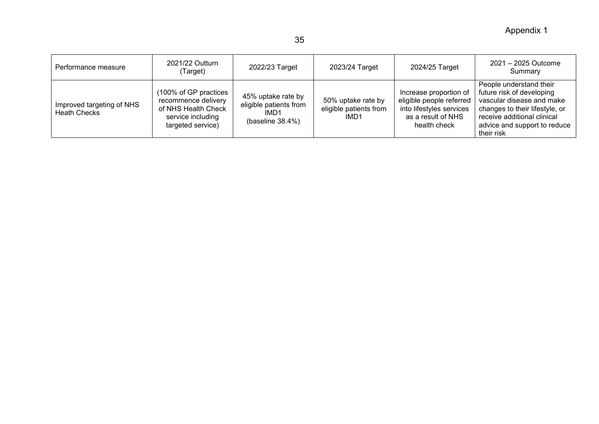Appendix 1

| Performance measure                              | 2021/22 Outturn<br>(Target)                                                                                   | 2022/23 Target                                                               | 2023/24 Target                                       | 2024/25 Target                                                                                                       | 2021 - 2025 Outcome<br>Summary                                                                                                                                                                   |
|--------------------------------------------------|---------------------------------------------------------------------------------------------------------------|------------------------------------------------------------------------------|------------------------------------------------------|----------------------------------------------------------------------------------------------------------------------|--------------------------------------------------------------------------------------------------------------------------------------------------------------------------------------------------|
| Improved targeting of NHS<br><b>Heath Checks</b> | (100% of GP practices<br>recommence delivery<br>of NHS Health Check<br>service including<br>targeted service) | 45% uptake rate by<br>eligible patients from<br>IMD1<br>(baseline $38.4\%$ ) | 50% uptake rate by<br>eligible patients from<br>IMD1 | Increase proportion of<br>eligible people referred<br>into lifestyles services<br>as a result of NHS<br>health check | People understand their<br>future risk of developing<br>vascular disease and make<br>changes to their lifestyle, or<br>receive additional clinical<br>advice and support to reduce<br>their risk |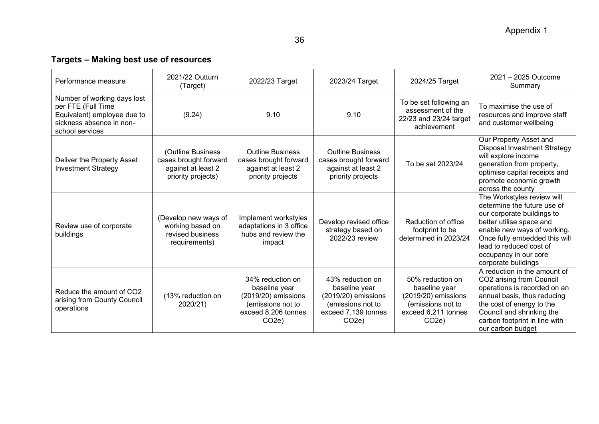# 36

# **Targets – Making best use of resources**

| Performance measure                                                                                                             | 2021/22 Outturn<br>(Target)                                                            | 2022/23 Target                                                                                                             | 2023/24 Target                                                                                                             | 2024/25 Target                                                                                                               | 2021 - 2025 Outcome<br>Summary                                                                                                                                                                                                                                 |
|---------------------------------------------------------------------------------------------------------------------------------|----------------------------------------------------------------------------------------|----------------------------------------------------------------------------------------------------------------------------|----------------------------------------------------------------------------------------------------------------------------|------------------------------------------------------------------------------------------------------------------------------|----------------------------------------------------------------------------------------------------------------------------------------------------------------------------------------------------------------------------------------------------------------|
| Number of working days lost<br>per FTE (Full Time<br>Equivalent) employee due to<br>sickness absence in non-<br>school services | (9.24)                                                                                 | 9.10                                                                                                                       | 9.10                                                                                                                       | To be set following an<br>assessment of the<br>22/23 and 23/24 target<br>achievement                                         | To maximise the use of<br>resources and improve staff<br>and customer wellbeing                                                                                                                                                                                |
| Deliver the Property Asset<br><b>Investment Strategy</b>                                                                        | (Outline Business<br>cases brought forward<br>against at least 2<br>priority projects) | <b>Outline Business</b><br>cases brought forward<br>against at least 2<br>priority projects                                | <b>Outline Business</b><br>cases brought forward<br>against at least 2<br>priority projects                                | To be set 2023/24                                                                                                            | Our Property Asset and<br><b>Disposal Investment Strategy</b><br>will explore income<br>generation from property,<br>optimise capital receipts and<br>promote economic growth<br>across the county                                                             |
| Review use of corporate<br>buildings                                                                                            | (Develop new ways of<br>working based on<br>revised business<br>requirements)          | Implement workstyles<br>adaptations in 3 office<br>hubs and review the<br>impact                                           | Develop revised office<br>strategy based on<br>2022/23 review                                                              | Reduction of office<br>footprint to be<br>determined in 2023/24                                                              | The Workstyles review will<br>determine the future use of<br>our corporate buildings to<br>better utilise space and<br>enable new ways of working.<br>Once fully embedded this will<br>lead to reduced cost of<br>occupancy in our core<br>corporate buildings |
| Reduce the amount of CO2<br>arising from County Council<br>operations                                                           | (13% reduction on<br>2020/21)                                                          | 34% reduction on<br>baseline year<br>(2019/20) emissions<br>(emissions not to<br>exceed 8,206 tonnes<br>CO <sub>2</sub> e) | 43% reduction on<br>baseline year<br>(2019/20) emissions<br>(emissions not to<br>exceed 7,139 tonnes<br>CO <sub>2</sub> e) | 50% reduction on<br>baseline year<br>$(2019/20)$ emissions<br>(emissions not to<br>exceed 6,211 tonnes<br>CO <sub>2</sub> e) | A reduction in the amount of<br>CO2 arising from Council<br>operations is recorded on an<br>annual basis, thus reducing<br>the cost of energy to the<br>Council and shrinking the<br>carbon footprint in line with<br>our carbon budget                        |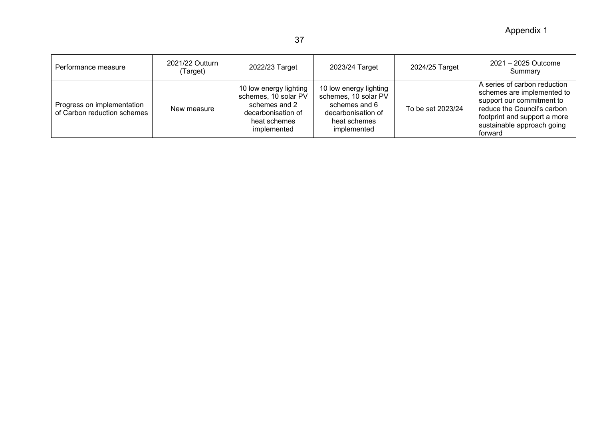Appendix 1

| Performance measure                                       | 2021/22 Outturn<br>(Target) | 2022/23 Target                                                                                                       | 2023/24 Target                                                                                                       | 2024/25 Target    | 2021 - 2025 Outcome<br>Summary                                                                                                                                                                  |
|-----------------------------------------------------------|-----------------------------|----------------------------------------------------------------------------------------------------------------------|----------------------------------------------------------------------------------------------------------------------|-------------------|-------------------------------------------------------------------------------------------------------------------------------------------------------------------------------------------------|
| Progress on implementation<br>of Carbon reduction schemes | New measure                 | 10 low energy lighting<br>schemes, 10 solar PV<br>schemes and 2<br>decarbonisation of<br>heat schemes<br>implemented | 10 low energy lighting<br>schemes, 10 solar PV<br>schemes and 6<br>decarbonisation of<br>heat schemes<br>implemented | To be set 2023/24 | A series of carbon reduction<br>schemes are implemented to<br>support our commitment to<br>reduce the Council's carbon<br>footprint and support a more<br>sustainable approach going<br>forward |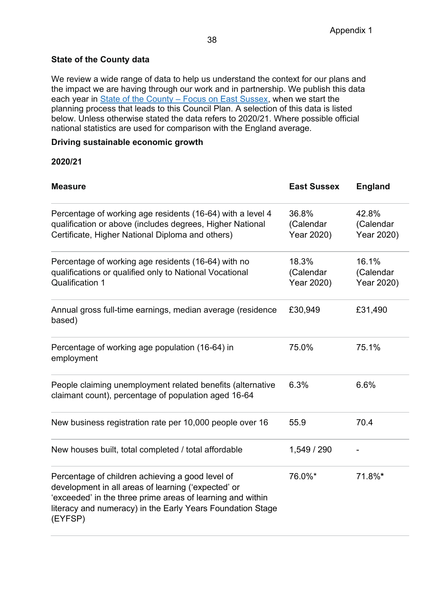## **State of the County data**

We review a wide range of data to help us understand the context for our plans and the impact we are having through our work and in partnership. We publish this data each year in **State of the County – Focus on East Sussex**, when we start the planning process that leads to this Council Plan. A selection of this data is listed below. Unless otherwise stated the data refers to 2020/21. Where possible official national statistics are used for comparison with the England average.

#### **Driving sustainable economic growth**

#### **2020/21**

| <b>Measure</b>                                                                                                                                                                                                                                 | <b>East Sussex</b>               | <b>England</b>                   |
|------------------------------------------------------------------------------------------------------------------------------------------------------------------------------------------------------------------------------------------------|----------------------------------|----------------------------------|
| Percentage of working age residents (16-64) with a level 4<br>qualification or above (includes degrees, Higher National<br>Certificate, Higher National Diploma and others)                                                                    | 36.8%<br>(Calendar<br>Year 2020) | 42.8%<br>(Calendar<br>Year 2020) |
| Percentage of working age residents (16-64) with no<br>qualifications or qualified only to National Vocational<br><b>Qualification 1</b>                                                                                                       | 18.3%<br>(Calendar<br>Year 2020) | 16.1%<br>(Calendar<br>Year 2020) |
| Annual gross full-time earnings, median average (residence<br>based)                                                                                                                                                                           | £30,949                          | £31,490                          |
| Percentage of working age population (16-64) in<br>employment                                                                                                                                                                                  | 75.0%                            | 75.1%                            |
| People claiming unemployment related benefits (alternative<br>claimant count), percentage of population aged 16-64                                                                                                                             | 6.3%                             | 6.6%                             |
| New business registration rate per 10,000 people over 16                                                                                                                                                                                       | 55.9                             | 70.4                             |
| New houses built, total completed / total affordable                                                                                                                                                                                           | 1,549 / 290                      |                                  |
| Percentage of children achieving a good level of<br>development in all areas of learning ('expected' or<br>'exceeded' in the three prime areas of learning and within<br>literacy and numeracy) in the Early Years Foundation Stage<br>(EYFSP) | 76.0%*                           | 71.8%*                           |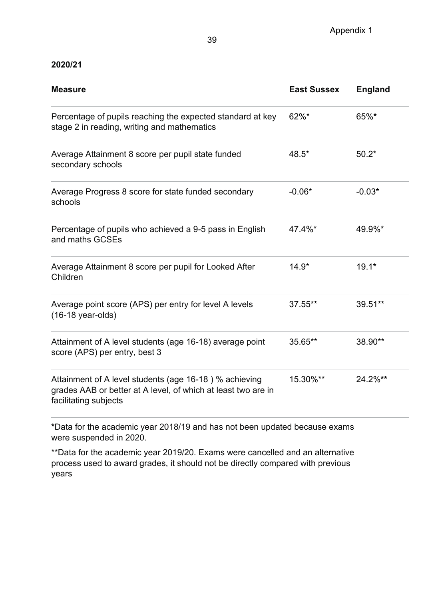#### **2020/21**

| <b>Measure</b>                                                                                                                                   | <b>East Sussex</b> | <b>England</b> |
|--------------------------------------------------------------------------------------------------------------------------------------------------|--------------------|----------------|
| Percentage of pupils reaching the expected standard at key<br>stage 2 in reading, writing and mathematics                                        | $62\%$ *           | 65%*           |
| Average Attainment 8 score per pupil state funded<br>secondary schools                                                                           | 48.5*              | $50.2*$        |
| Average Progress 8 score for state funded secondary<br>schools                                                                                   | $-0.06*$           | $-0.03*$       |
| Percentage of pupils who achieved a 9-5 pass in English<br>and maths GCSEs                                                                       | 47.4%*             | 49.9%*         |
| Average Attainment 8 score per pupil for Looked After<br>Children                                                                                | $14.9*$            | $19.1*$        |
| Average point score (APS) per entry for level A levels<br>$(16-18 \text{ year-olds})$                                                            | 37.55**            | 39.51**        |
| Attainment of A level students (age 16-18) average point<br>score (APS) per entry, best 3                                                        | 35.65**            | 38.90**        |
| Attainment of A level students (age 16-18) % achieving<br>grades AAB or better at A level, of which at least two are in<br>facilitating subjects | 15.30%**           | 24.2%**        |

**\***Data for the academic year 2018/19 and has not been updated because exams were suspended in 2020.

\*\*Data for the academic year 2019/20. Exams were cancelled and an alternative process used to award grades, it should not be directly compared with previous years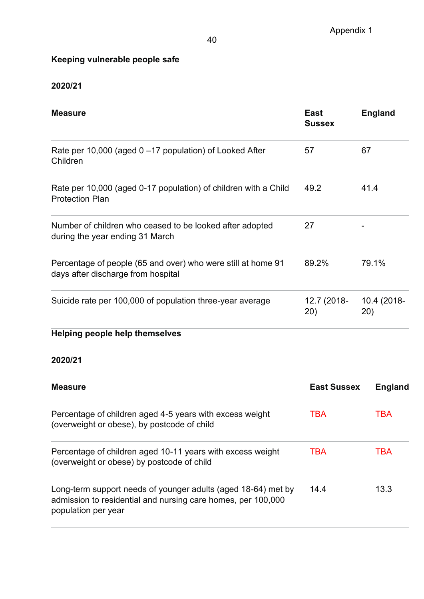# **Keeping vulnerable people safe**

# **2020/21**

| <b>Measure</b>                                                                                     | <b>East</b><br><b>Sussex</b> | <b>England</b>     |
|----------------------------------------------------------------------------------------------------|------------------------------|--------------------|
| Rate per 10,000 (aged $0 - 17$ population) of Looked After<br>Children                             | 57                           | 67                 |
| Rate per 10,000 (aged 0-17 population) of children with a Child<br><b>Protection Plan</b>          | 49.2                         | 41.4               |
| Number of children who ceased to be looked after adopted<br>during the year ending 31 March        | 27                           |                    |
| Percentage of people (65 and over) who were still at home 91<br>days after discharge from hospital | 89.2%                        | 79.1%              |
| Suicide rate per 100,000 of population three-year average                                          | 12.7 (2018-<br>20)           | 10.4 (2018-<br>20) |
| <b>Helping people help themselves</b>                                                              |                              |                    |

# **2020/21**

| <b>Measure</b>                                                                                                                                       | <b>East Sussex</b> | <b>England</b> |
|------------------------------------------------------------------------------------------------------------------------------------------------------|--------------------|----------------|
| Percentage of children aged 4-5 years with excess weight<br>(overweight or obese), by postcode of child                                              | <b>TBA</b>         | <b>TBA</b>     |
| Percentage of children aged 10-11 years with excess weight<br>(overweight or obese) by postcode of child                                             | <b>TBA</b>         | TBA            |
| Long-term support needs of younger adults (aged 18-64) met by<br>admission to residential and nursing care homes, per 100,000<br>population per year | 14.4               | 13.3           |